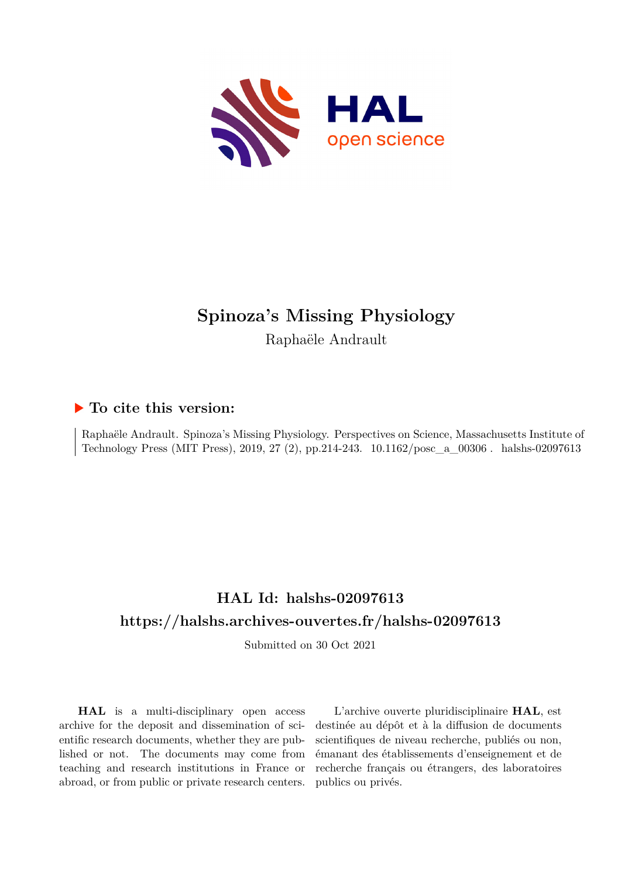

# **Spinoza's Missing Physiology** Raphaële Andrault

## **To cite this version:**

Raphaële Andrault. Spinoza's Missing Physiology. Perspectives on Science, Massachusetts Institute of Technology Press (MIT Press), 2019, 27 (2), pp.214-243.  $10.1162/posc_a_00306$ . halshs-02097613

## **HAL Id: halshs-02097613 <https://halshs.archives-ouvertes.fr/halshs-02097613>**

Submitted on 30 Oct 2021

**HAL** is a multi-disciplinary open access archive for the deposit and dissemination of scientific research documents, whether they are published or not. The documents may come from teaching and research institutions in France or abroad, or from public or private research centers.

L'archive ouverte pluridisciplinaire **HAL**, est destinée au dépôt et à la diffusion de documents scientifiques de niveau recherche, publiés ou non, émanant des établissements d'enseignement et de recherche français ou étrangers, des laboratoires publics ou privés.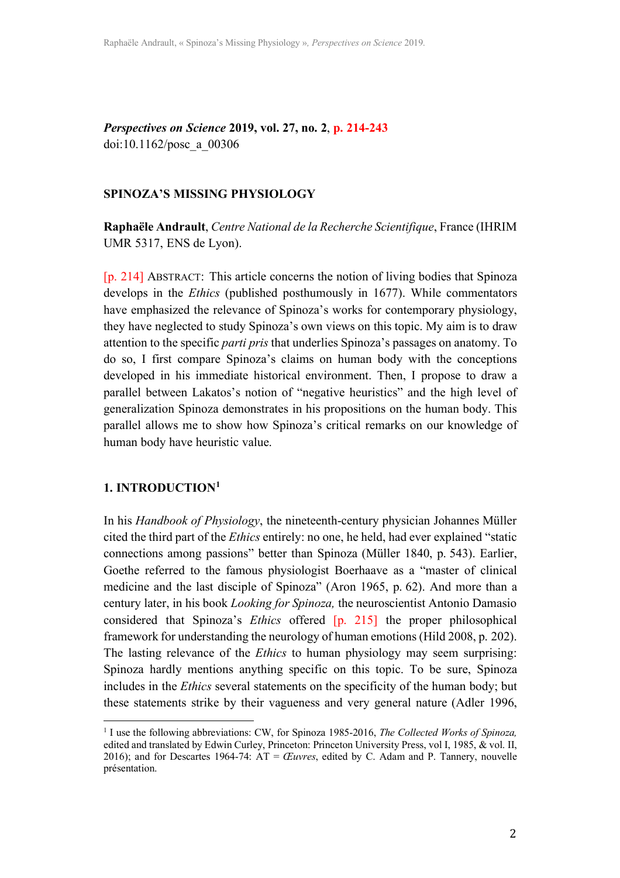*Perspectives on Science* **2019, vol. 27, no. 2**, **p. 214-243** doi:10.1162/posc\_a\_00306

#### **SPINOZA'S MISSING PHYSIOLOGY**

**Raphaële Andrault**, *Centre National de la Recherche Scientifique*, France (IHRIM UMR 5317, ENS de Lyon).

[p. 214] ABSTRACT: This article concerns the notion of living bodies that Spinoza develops in the *Ethics* (published posthumously in 1677). While commentators have emphasized the relevance of Spinoza's works for contemporary physiology, they have neglected to study Spinoza's own views on this topic. My aim is to draw attention to the specific *parti pris* that underlies Spinoza's passages on anatomy. To do so, I first compare Spinoza's claims on human body with the conceptions developed in his immediate historical environment. Then, I propose to draw a parallel between Lakatos's notion of "negative heuristics" and the high level of generalization Spinoza demonstrates in his propositions on the human body. This parallel allows me to show how Spinoza's critical remarks on our knowledge of human body have heuristic value.

#### **1. INTRODUCTION1**

 

In his *Handbook of Physiology*, the nineteenth-century physician Johannes Müller cited the third part of the *Ethics* entirely: no one, he held, had ever explained "static connections among passions" better than Spinoza (Müller 1840, p. 543). Earlier, Goethe referred to the famous physiologist Boerhaave as a "master of clinical medicine and the last disciple of Spinoza" (Aron 1965, p. 62). And more than a century later, in his book *Looking for Spinoza,* the neuroscientist Antonio Damasio considered that Spinoza's *Ethics* offered [p. 215] the proper philosophical framework for understanding the neurology of human emotions(Hild 2008, p. 202). The lasting relevance of the *Ethics* to human physiology may seem surprising: Spinoza hardly mentions anything specific on this topic. To be sure, Spinoza includes in the *Ethics* several statements on the specificity of the human body; but these statements strike by their vagueness and very general nature (Adler 1996,

<sup>1</sup> I use the following abbreviations: CW, for Spinoza 1985-2016, *The Collected Works of Spinoza,* edited and translated by Edwin Curley, Princeton: Princeton University Press, vol I, 1985, & vol. II, 2016); and for Descartes 1964-74: AT = *Œuvres*, edited by C. Adam and P. Tannery, nouvelle présentation.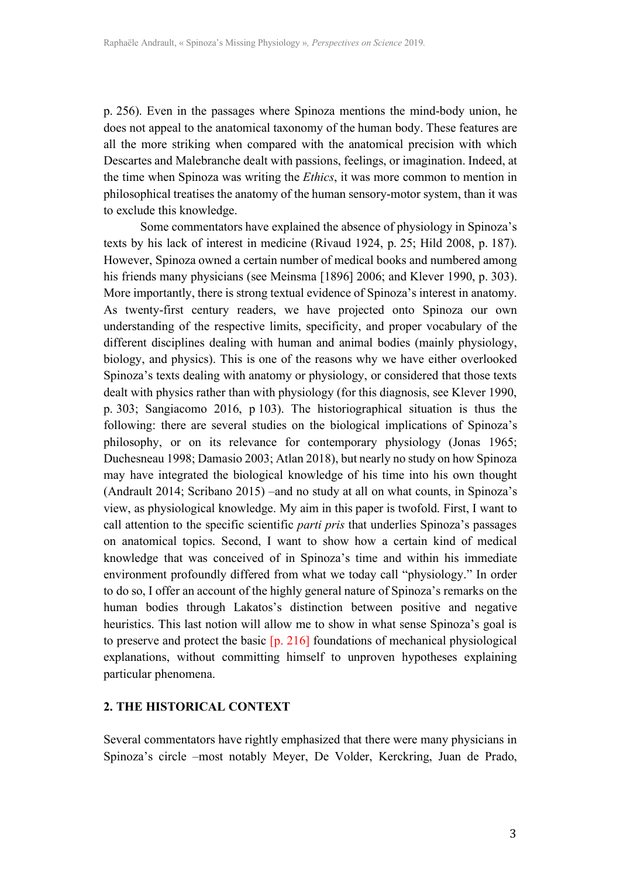p. 256). Even in the passages where Spinoza mentions the mind-body union, he does not appeal to the anatomical taxonomy of the human body. These features are all the more striking when compared with the anatomical precision with which Descartes and Malebranche dealt with passions, feelings, or imagination. Indeed, at the time when Spinoza was writing the *Ethics*, it was more common to mention in philosophical treatises the anatomy of the human sensory-motor system, than it was to exclude this knowledge.

Some commentators have explained the absence of physiology in Spinoza's texts by his lack of interest in medicine (Rivaud 1924, p. 25; Hild 2008, p. 187). However, Spinoza owned a certain number of medical books and numbered among his friends many physicians (see Meinsma [1896] 2006; and Klever 1990, p. 303). More importantly, there is strong textual evidence of Spinoza's interest in anatomy. As twenty-first century readers, we have projected onto Spinoza our own understanding of the respective limits, specificity, and proper vocabulary of the different disciplines dealing with human and animal bodies (mainly physiology, biology, and physics). This is one of the reasons why we have either overlooked Spinoza's texts dealing with anatomy or physiology, or considered that those texts dealt with physics rather than with physiology (for this diagnosis, see Klever 1990, p. 303; Sangiacomo 2016, p 103). The historiographical situation is thus the following: there are several studies on the biological implications of Spinoza's philosophy, or on its relevance for contemporary physiology (Jonas 1965; Duchesneau 1998; Damasio 2003; Atlan 2018), but nearly no study on how Spinoza may have integrated the biological knowledge of his time into his own thought (Andrault 2014; Scribano 2015) –and no study at all on what counts, in Spinoza's view, as physiological knowledge. My aim in this paper is twofold. First, I want to call attention to the specific scientific *parti pris* that underlies Spinoza's passages on anatomical topics. Second, I want to show how a certain kind of medical knowledge that was conceived of in Spinoza's time and within his immediate environment profoundly differed from what we today call "physiology." In order to do so, I offer an account of the highly general nature of Spinoza's remarks on the human bodies through Lakatos's distinction between positive and negative heuristics. This last notion will allow me to show in what sense Spinoza's goal is to preserve and protect the basic [p. 216] foundations of mechanical physiological explanations, without committing himself to unproven hypotheses explaining particular phenomena.

#### **2. THE HISTORICAL CONTEXT**

Several commentators have rightly emphasized that there were many physicians in Spinoza's circle –most notably Meyer, De Volder, Kerckring, Juan de Prado,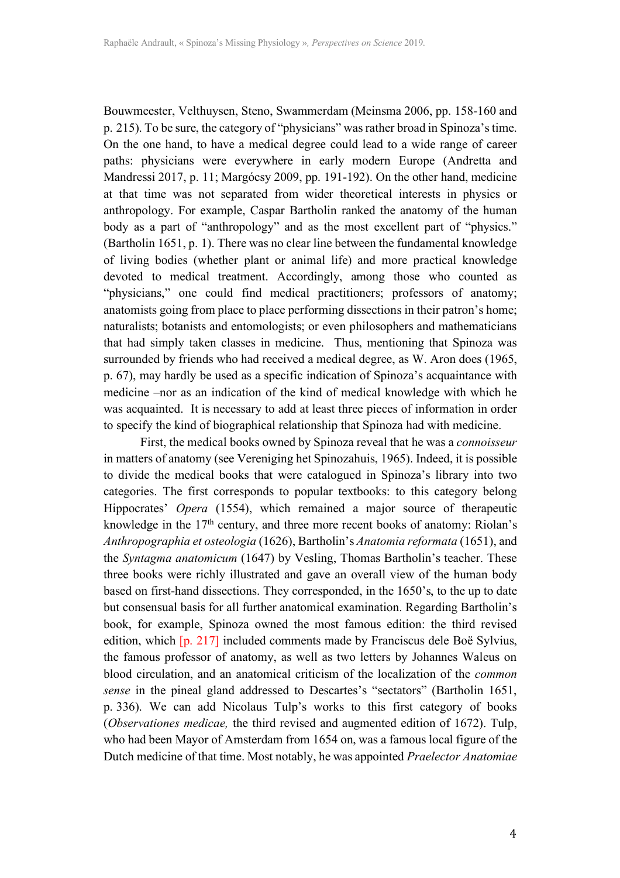Bouwmeester, Velthuysen, Steno, Swammerdam (Meinsma 2006, pp. 158-160 and p. 215). To be sure, the category of "physicians" was rather broad in Spinoza's time. On the one hand, to have a medical degree could lead to a wide range of career paths: physicians were everywhere in early modern Europe (Andretta and Mandressi 2017, p. 11; Margócsy 2009, pp. 191-192). On the other hand, medicine at that time was not separated from wider theoretical interests in physics or anthropology. For example, Caspar Bartholin ranked the anatomy of the human body as a part of "anthropology" and as the most excellent part of "physics." (Bartholin 1651, p. 1). There was no clear line between the fundamental knowledge of living bodies (whether plant or animal life) and more practical knowledge devoted to medical treatment. Accordingly, among those who counted as "physicians," one could find medical practitioners; professors of anatomy; anatomists going from place to place performing dissections in their patron's home; naturalists; botanists and entomologists; or even philosophers and mathematicians that had simply taken classes in medicine. Thus, mentioning that Spinoza was surrounded by friends who had received a medical degree, as W. Aron does (1965, p. 67), may hardly be used as a specific indication of Spinoza's acquaintance with medicine –nor as an indication of the kind of medical knowledge with which he was acquainted. It is necessary to add at least three pieces of information in order to specify the kind of biographical relationship that Spinoza had with medicine.

First, the medical books owned by Spinoza reveal that he was a *connoisseur*  in matters of anatomy (see Vereniging het Spinozahuis, 1965). Indeed, it is possible to divide the medical books that were catalogued in Spinoza's library into two categories. The first corresponds to popular textbooks: to this category belong Hippocrates' *Opera* (1554), which remained a major source of therapeutic knowledge in the  $17<sup>th</sup>$  century, and three more recent books of anatomy: Riolan's *Anthropographia et osteologia* (1626), Bartholin's *Anatomia reformata* (1651), and the *Syntagma anatomicum* (1647) by Vesling, Thomas Bartholin's teacher. These three books were richly illustrated and gave an overall view of the human body based on first-hand dissections. They corresponded, in the 1650's, to the up to date but consensual basis for all further anatomical examination. Regarding Bartholin's book, for example, Spinoza owned the most famous edition: the third revised edition, which [p. 217] included comments made by Franciscus dele Boë Sylvius, the famous professor of anatomy, as well as two letters by Johannes Waleus on blood circulation, and an anatomical criticism of the localization of the *common sense* in the pineal gland addressed to Descartes's "sectators" (Bartholin 1651, p. 336). We can add Nicolaus Tulp's works to this first category of books (*Observationes medicae,* the third revised and augmented edition of 1672). Tulp, who had been Mayor of Amsterdam from 1654 on, was a famous local figure of the Dutch medicine of that time. Most notably, he was appointed *Praelector Anatomiae*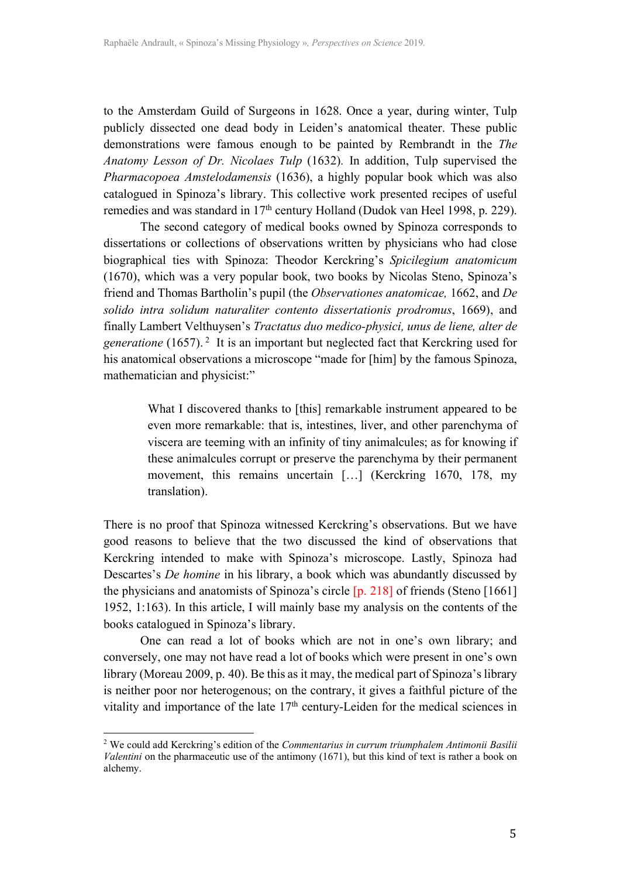to the Amsterdam Guild of Surgeons in 1628. Once a year, during winter, Tulp publicly dissected one dead body in Leiden's anatomical theater. These public demonstrations were famous enough to be painted by Rembrandt in the *The Anatomy Lesson of Dr. Nicolaes Tulp* (1632)*.* In addition, Tulp supervised the *Pharmacopoea Amstelodamensis* (1636), a highly popular book which was also catalogued in Spinoza's library. This collective work presented recipes of useful remedies and was standard in 17<sup>th</sup> century Holland (Dudok van Heel 1998, p. 229).

The second category of medical books owned by Spinoza corresponds to dissertations or collections of observations written by physicians who had close biographical ties with Spinoza: Theodor Kerckring's *Spicilegium anatomicum* (1670), which was a very popular book, two books by Nicolas Steno, Spinoza's friend and Thomas Bartholin's pupil (the *Observationes anatomicae,* 1662, and *De solido intra solidum naturaliter contento dissertationis prodromus*, 1669), and finally Lambert Velthuysen's *Tractatus duo medico-physici, unus de liene, alter de generatione* (1657). <sup>2</sup> It is an important but neglected fact that Kerckring used for his anatomical observations a microscope "made for [him] by the famous Spinoza, mathematician and physicist:"

> What I discovered thanks to [this] remarkable instrument appeared to be even more remarkable: that is, intestines, liver, and other parenchyma of viscera are teeming with an infinity of tiny animalcules; as for knowing if these animalcules corrupt or preserve the parenchyma by their permanent movement, this remains uncertain [...] (Kerckring 1670, 178, my translation).

There is no proof that Spinoza witnessed Kerckring's observations. But we have good reasons to believe that the two discussed the kind of observations that Kerckring intended to make with Spinoza's microscope. Lastly, Spinoza had Descartes's *De homine* in his library, a book which was abundantly discussed by the physicians and anatomists of Spinoza's circle [p. 218] of friends (Steno [1661] 1952, 1:163). In this article, I will mainly base my analysis on the contents of the books catalogued in Spinoza's library.

One can read a lot of books which are not in one's own library; and conversely, one may not have read a lot of books which were present in one's own library (Moreau 2009, p. 40). Be this as it may, the medical part of Spinoza's library is neither poor nor heterogenous; on the contrary, it gives a faithful picture of the vitality and importance of the late  $17<sup>th</sup>$  century-Leiden for the medical sciences in

 

<sup>2</sup> We could add Kerckring's edition of the *Commentarius in currum triumphalem Antimonii Basilii Valentini* on the pharmaceutic use of the antimony (1671), but this kind of text is rather a book on alchemy.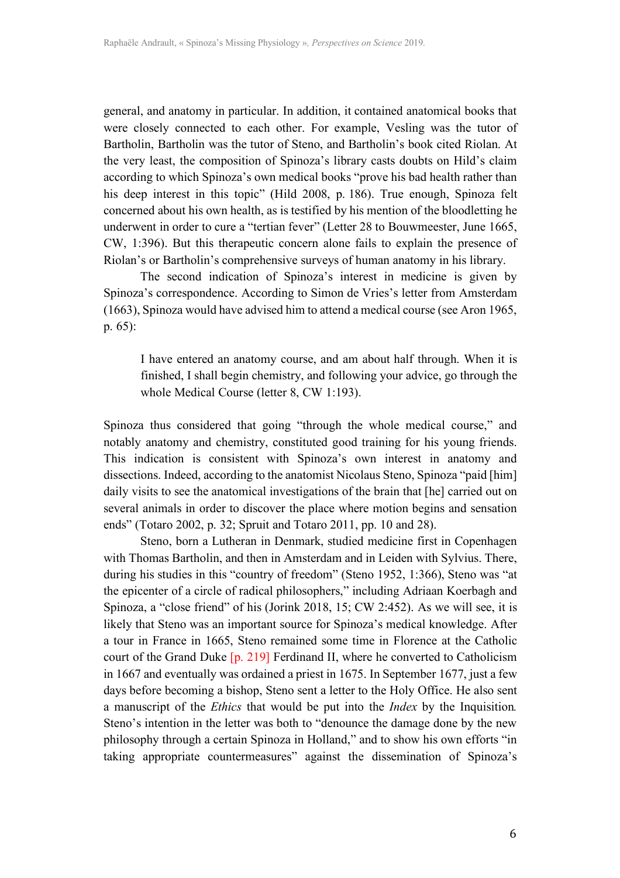general, and anatomy in particular. In addition, it contained anatomical books that were closely connected to each other. For example, Vesling was the tutor of Bartholin, Bartholin was the tutor of Steno, and Bartholin's book cited Riolan. At the very least, the composition of Spinoza's library casts doubts on Hild's claim according to which Spinoza's own medical books "prove his bad health rather than his deep interest in this topic" (Hild 2008, p. 186). True enough, Spinoza felt concerned about his own health, as is testified by his mention of the bloodletting he underwent in order to cure a "tertian fever" (Letter 28 to Bouwmeester, June 1665, CW, 1:396). But this therapeutic concern alone fails to explain the presence of Riolan's or Bartholin's comprehensive surveys of human anatomy in his library.

The second indication of Spinoza's interest in medicine is given by Spinoza's correspondence. According to Simon de Vries's letter from Amsterdam (1663), Spinoza would have advised him to attend a medical course (see Aron 1965, p. 65):

I have entered an anatomy course, and am about half through. When it is finished, I shall begin chemistry, and following your advice, go through the whole Medical Course (letter 8, CW 1:193).

Spinoza thus considered that going "through the whole medical course," and notably anatomy and chemistry, constituted good training for his young friends. This indication is consistent with Spinoza's own interest in anatomy and dissections. Indeed, according to the anatomist Nicolaus Steno, Spinoza "paid [him] daily visits to see the anatomical investigations of the brain that [he] carried out on several animals in order to discover the place where motion begins and sensation ends" (Totaro 2002, p. 32; Spruit and Totaro 2011, pp. 10 and 28).

Steno, born a Lutheran in Denmark, studied medicine first in Copenhagen with Thomas Bartholin, and then in Amsterdam and in Leiden with Sylvius. There, during his studies in this "country of freedom" (Steno 1952, 1:366), Steno was "at the epicenter of a circle of radical philosophers," including Adriaan Koerbagh and Spinoza, a "close friend" of his (Jorink 2018, 15; CW 2:452). As we will see, it is likely that Steno was an important source for Spinoza's medical knowledge. After a tour in France in 1665, Steno remained some time in Florence at the Catholic court of the Grand Duke [p. 219] Ferdinand II, where he converted to Catholicism in 1667 and eventually was ordained a priest in 1675. In September 1677, just a few days before becoming a bishop, Steno sent a letter to the Holy Office. He also sent a manuscript of the *Ethics* that would be put into the *Index* by the Inquisition*.* Steno's intention in the letter was both to "denounce the damage done by the new philosophy through a certain Spinoza in Holland," and to show his own efforts "in taking appropriate countermeasures" against the dissemination of Spinoza's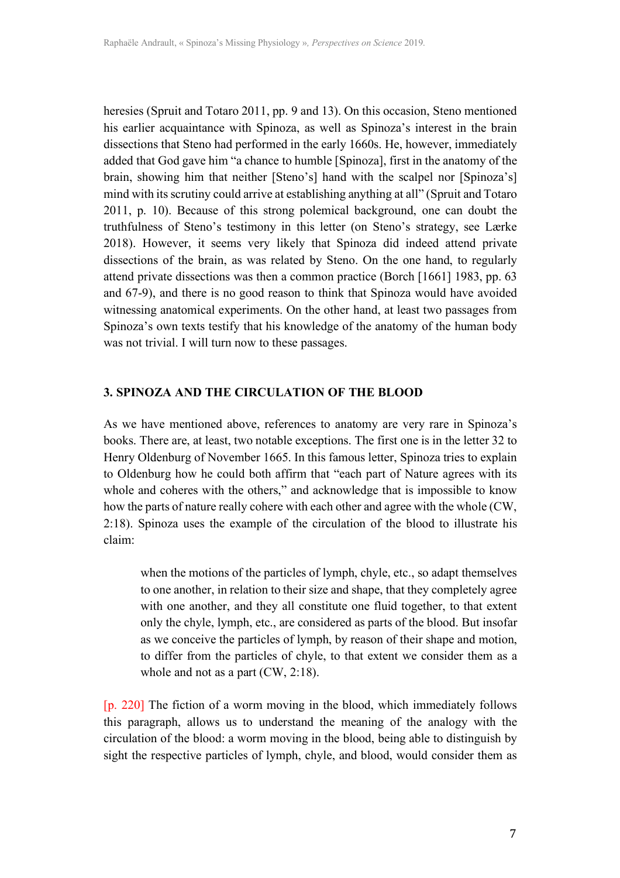heresies (Spruit and Totaro 2011, pp. 9 and 13). On this occasion, Steno mentioned his earlier acquaintance with Spinoza, as well as Spinoza's interest in the brain dissections that Steno had performed in the early 1660s. He, however, immediately added that God gave him "a chance to humble [Spinoza], first in the anatomy of the brain, showing him that neither [Steno's] hand with the scalpel nor [Spinoza's] mind with its scrutiny could arrive at establishing anything at all" (Spruit and Totaro 2011, p. 10). Because of this strong polemical background, one can doubt the truthfulness of Steno's testimony in this letter (on Steno's strategy, see Lærke 2018). However, it seems very likely that Spinoza did indeed attend private dissections of the brain, as was related by Steno. On the one hand, to regularly attend private dissections was then a common practice (Borch [1661] 1983, pp. 63 and 67-9), and there is no good reason to think that Spinoza would have avoided witnessing anatomical experiments. On the other hand, at least two passages from Spinoza's own texts testify that his knowledge of the anatomy of the human body was not trivial. I will turn now to these passages.

#### **3. SPINOZA AND THE CIRCULATION OF THE BLOOD**

As we have mentioned above, references to anatomy are very rare in Spinoza's books. There are, at least, two notable exceptions. The first one is in the letter 32 to Henry Oldenburg of November 1665. In this famous letter, Spinoza tries to explain to Oldenburg how he could both affirm that "each part of Nature agrees with its whole and coheres with the others," and acknowledge that is impossible to know how the parts of nature really cohere with each other and agree with the whole (CW, 2:18). Spinoza uses the example of the circulation of the blood to illustrate his claim:

when the motions of the particles of lymph, chyle, etc., so adapt themselves to one another, in relation to their size and shape, that they completely agree with one another, and they all constitute one fluid together, to that extent only the chyle, lymph, etc., are considered as parts of the blood. But insofar as we conceive the particles of lymph, by reason of their shape and motion, to differ from the particles of chyle, to that extent we consider them as a whole and not as a part (CW, 2:18).

[p. 220] The fiction of a worm moving in the blood, which immediately follows this paragraph, allows us to understand the meaning of the analogy with the circulation of the blood: a worm moving in the blood, being able to distinguish by sight the respective particles of lymph, chyle, and blood, would consider them as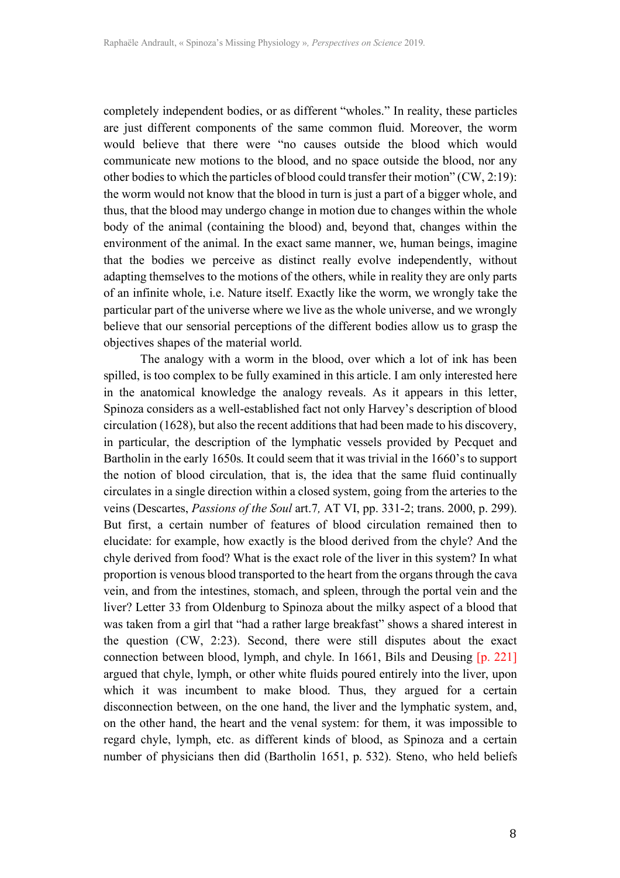completely independent bodies, or as different "wholes." In reality, these particles are just different components of the same common fluid. Moreover, the worm would believe that there were "no causes outside the blood which would communicate new motions to the blood, and no space outside the blood, nor any other bodies to which the particles of blood could transfer their motion" (CW, 2:19): the worm would not know that the blood in turn is just a part of a bigger whole, and thus, that the blood may undergo change in motion due to changes within the whole body of the animal (containing the blood) and, beyond that, changes within the environment of the animal. In the exact same manner, we, human beings, imagine that the bodies we perceive as distinct really evolve independently, without adapting themselves to the motions of the others, while in reality they are only parts of an infinite whole, i.e. Nature itself. Exactly like the worm, we wrongly take the particular part of the universe where we live as the whole universe, and we wrongly believe that our sensorial perceptions of the different bodies allow us to grasp the objectives shapes of the material world.

The analogy with a worm in the blood, over which a lot of ink has been spilled, is too complex to be fully examined in this article. I am only interested here in the anatomical knowledge the analogy reveals. As it appears in this letter, Spinoza considers as a well-established fact not only Harvey's description of blood circulation (1628), but also the recent additions that had been made to his discovery, in particular, the description of the lymphatic vessels provided by Pecquet and Bartholin in the early 1650s. It could seem that it was trivial in the 1660's to support the notion of blood circulation, that is, the idea that the same fluid continually circulates in a single direction within a closed system, going from the arteries to the veins (Descartes, *Passions of the Soul* art.7*,* AT VI, pp. 331-2; trans. 2000, p. 299). But first, a certain number of features of blood circulation remained then to elucidate: for example, how exactly is the blood derived from the chyle? And the chyle derived from food? What is the exact role of the liver in this system? In what proportion is venous blood transported to the heart from the organs through the cava vein, and from the intestines, stomach, and spleen, through the portal vein and the liver? Letter 33 from Oldenburg to Spinoza about the milky aspect of a blood that was taken from a girl that "had a rather large breakfast" shows a shared interest in the question (CW, 2:23). Second, there were still disputes about the exact connection between blood, lymph, and chyle. In 1661, Bils and Deusing [p. 221] argued that chyle, lymph, or other white fluids poured entirely into the liver, upon which it was incumbent to make blood. Thus, they argued for a certain disconnection between, on the one hand, the liver and the lymphatic system, and, on the other hand, the heart and the venal system: for them, it was impossible to regard chyle, lymph, etc. as different kinds of blood, as Spinoza and a certain number of physicians then did (Bartholin 1651, p. 532). Steno, who held beliefs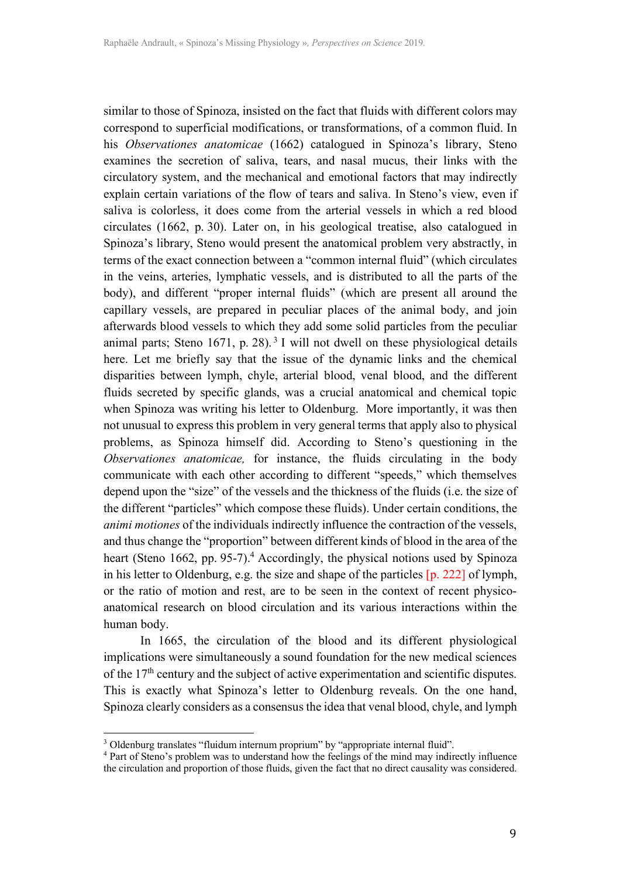similar to those of Spinoza, insisted on the fact that fluids with different colors may correspond to superficial modifications, or transformations, of a common fluid. In his *Observationes anatomicae* (1662) catalogued in Spinoza's library, Steno examines the secretion of saliva, tears, and nasal mucus, their links with the circulatory system, and the mechanical and emotional factors that may indirectly explain certain variations of the flow of tears and saliva. In Steno's view, even if saliva is colorless, it does come from the arterial vessels in which a red blood circulates (1662, p. 30). Later on, in his geological treatise, also catalogued in Spinoza's library, Steno would present the anatomical problem very abstractly, in terms of the exact connection between a "common internal fluid" (which circulates in the veins, arteries, lymphatic vessels, and is distributed to all the parts of the body), and different "proper internal fluids" (which are present all around the capillary vessels, are prepared in peculiar places of the animal body, and join afterwards blood vessels to which they add some solid particles from the peculiar animal parts; Steno  $1671$ , p. 28).<sup>3</sup> I will not dwell on these physiological details here. Let me briefly say that the issue of the dynamic links and the chemical disparities between lymph, chyle, arterial blood, venal blood, and the different fluids secreted by specific glands, was a crucial anatomical and chemical topic when Spinoza was writing his letter to Oldenburg. More importantly, it was then not unusual to express this problem in very general terms that apply also to physical problems, as Spinoza himself did. According to Steno's questioning in the *Observationes anatomicae,* for instance, the fluids circulating in the body communicate with each other according to different "speeds," which themselves depend upon the "size" of the vessels and the thickness of the fluids (i.e. the size of the different "particles" which compose these fluids). Under certain conditions, the *animi motiones* of the individuals indirectly influence the contraction of the vessels, and thus change the "proportion" between different kinds of blood in the area of the heart (Steno 1662, pp. 95-7). <sup>4</sup> Accordingly, the physical notions used by Spinoza in his letter to Oldenburg, e.g. the size and shape of the particles [p. 222] of lymph, or the ratio of motion and rest, are to be seen in the context of recent physicoanatomical research on blood circulation and its various interactions within the human body.

In 1665, the circulation of the blood and its different physiological implications were simultaneously a sound foundation for the new medical sciences of the  $17<sup>th</sup>$  century and the subject of active experimentation and scientific disputes. This is exactly what Spinoza's letter to Oldenburg reveals. On the one hand, Spinoza clearly considers as a consensus the idea that venal blood, chyle, and lymph

 

<sup>&</sup>lt;sup>3</sup> Oldenburg translates "fluidum internum proprium" by "appropriate internal fluid".<br><sup>4</sup> Part of Steno's problem was to understand how the feelings of the mind may indirectly influence the circulation and proportion of those fluids, given the fact that no direct causality was considered.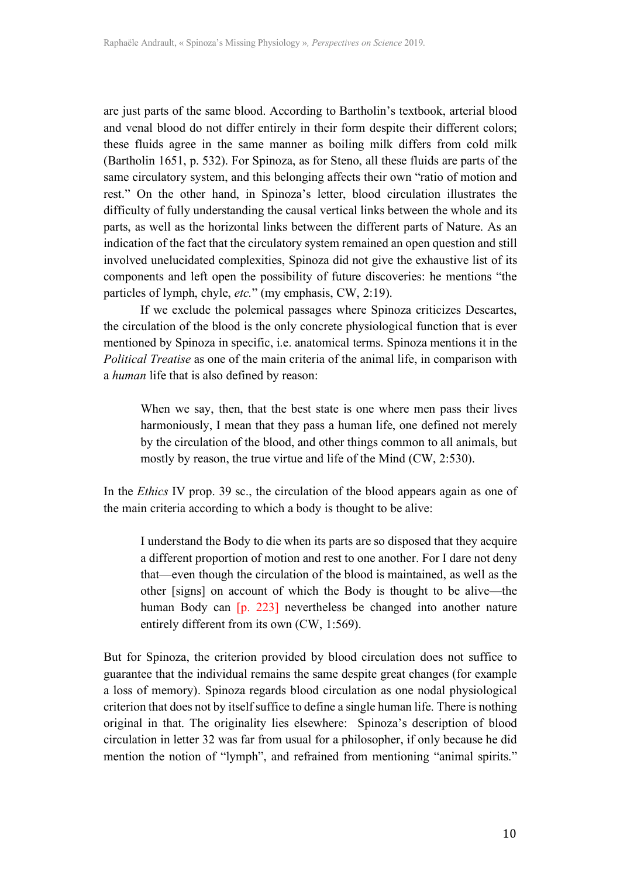are just parts of the same blood. According to Bartholin's textbook, arterial blood and venal blood do not differ entirely in their form despite their different colors; these fluids agree in the same manner as boiling milk differs from cold milk (Bartholin 1651, p. 532). For Spinoza, as for Steno, all these fluids are parts of the same circulatory system, and this belonging affects their own "ratio of motion and rest." On the other hand, in Spinoza's letter, blood circulation illustrates the difficulty of fully understanding the causal vertical links between the whole and its parts, as well as the horizontal links between the different parts of Nature. As an indication of the fact that the circulatory system remained an open question and still involved unelucidated complexities, Spinoza did not give the exhaustive list of its components and left open the possibility of future discoveries: he mentions "the particles of lymph, chyle, *etc.*" (my emphasis, CW, 2:19).

If we exclude the polemical passages where Spinoza criticizes Descartes, the circulation of the blood is the only concrete physiological function that is ever mentioned by Spinoza in specific, i.e. anatomical terms. Spinoza mentions it in the *Political Treatise* as one of the main criteria of the animal life, in comparison with a *human* life that is also defined by reason:

When we say, then, that the best state is one where men pass their lives harmoniously, I mean that they pass a human life, one defined not merely by the circulation of the blood, and other things common to all animals, but mostly by reason, the true virtue and life of the Mind (CW, 2:530).

In the *Ethics* IV prop. 39 sc., the circulation of the blood appears again as one of the main criteria according to which a body is thought to be alive:

I understand the Body to die when its parts are so disposed that they acquire a different proportion of motion and rest to one another. For I dare not deny that—even though the circulation of the blood is maintained, as well as the other [signs] on account of which the Body is thought to be alive—the human Body can [p. 223] nevertheless be changed into another nature entirely different from its own (CW, 1:569).

But for Spinoza, the criterion provided by blood circulation does not suffice to guarantee that the individual remains the same despite great changes (for example a loss of memory). Spinoza regards blood circulation as one nodal physiological criterion that does not by itself suffice to define a single human life. There is nothing original in that. The originality lies elsewhere: Spinoza's description of blood circulation in letter 32 was far from usual for a philosopher, if only because he did mention the notion of "lymph", and refrained from mentioning "animal spirits."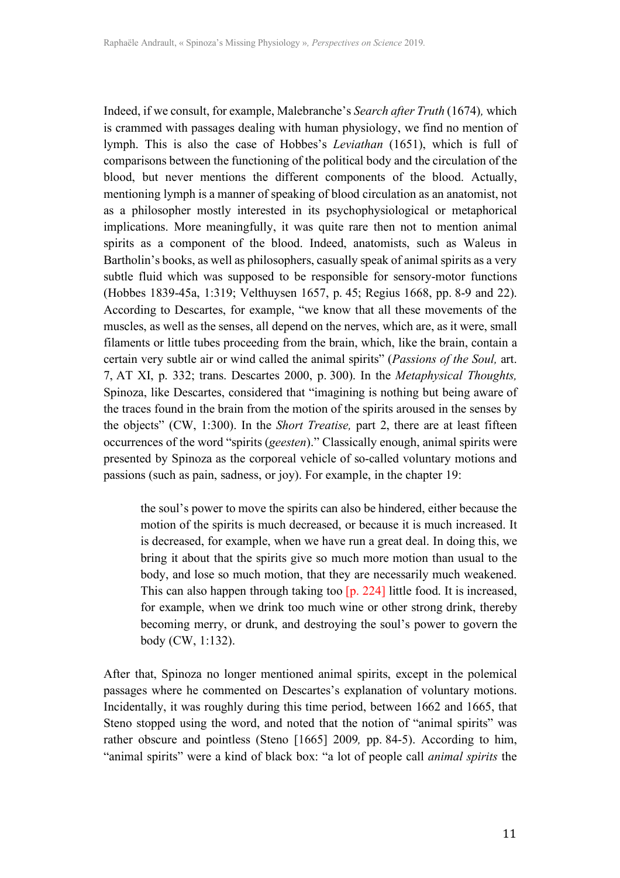Indeed, if we consult, for example, Malebranche's *Search after Truth* (1674)*,* which is crammed with passages dealing with human physiology, we find no mention of lymph. This is also the case of Hobbes's *Leviathan* (1651), which is full of comparisons between the functioning of the political body and the circulation of the blood, but never mentions the different components of the blood. Actually, mentioning lymph is a manner of speaking of blood circulation as an anatomist, not as a philosopher mostly interested in its psychophysiological or metaphorical implications. More meaningfully, it was quite rare then not to mention animal spirits as a component of the blood. Indeed, anatomists, such as Waleus in Bartholin's books, as well as philosophers, casually speak of animal spirits as a very subtle fluid which was supposed to be responsible for sensory-motor functions (Hobbes 1839-45a, 1:319; Velthuysen 1657, p. 45; Regius 1668, pp. 8-9 and 22). According to Descartes, for example, "we know that all these movements of the muscles, as well as the senses, all depend on the nerves, which are, as it were, small filaments or little tubes proceeding from the brain, which, like the brain, contain a certain very subtle air or wind called the animal spirits" (*Passions of the Soul,* art. 7, AT XI, p. 332; trans. Descartes 2000, p. 300). In the *Metaphysical Thoughts,*  Spinoza, like Descartes, considered that "imagining is nothing but being aware of the traces found in the brain from the motion of the spirits aroused in the senses by the objects" (CW, 1:300). In the *Short Treatise,* part 2, there are at least fifteen occurrences of the word "spirits (*geesten*)." Classically enough, animal spirits were presented by Spinoza as the corporeal vehicle of so-called voluntary motions and passions (such as pain, sadness, or joy). For example, in the chapter 19:

the soul's power to move the spirits can also be hindered, either because the motion of the spirits is much decreased, or because it is much increased. It is decreased, for example, when we have run a great deal. In doing this, we bring it about that the spirits give so much more motion than usual to the body, and lose so much motion, that they are necessarily much weakened. This can also happen through taking too [p. 224] little food. It is increased, for example, when we drink too much wine or other strong drink, thereby becoming merry, or drunk, and destroying the soul's power to govern the body (CW, 1:132).

After that, Spinoza no longer mentioned animal spirits, except in the polemical passages where he commented on Descartes's explanation of voluntary motions. Incidentally, it was roughly during this time period, between 1662 and 1665, that Steno stopped using the word, and noted that the notion of "animal spirits" was rather obscure and pointless (Steno [1665] 2009*,* pp. 84-5). According to him, "animal spirits" were a kind of black box: "a lot of people call *animal spirits* the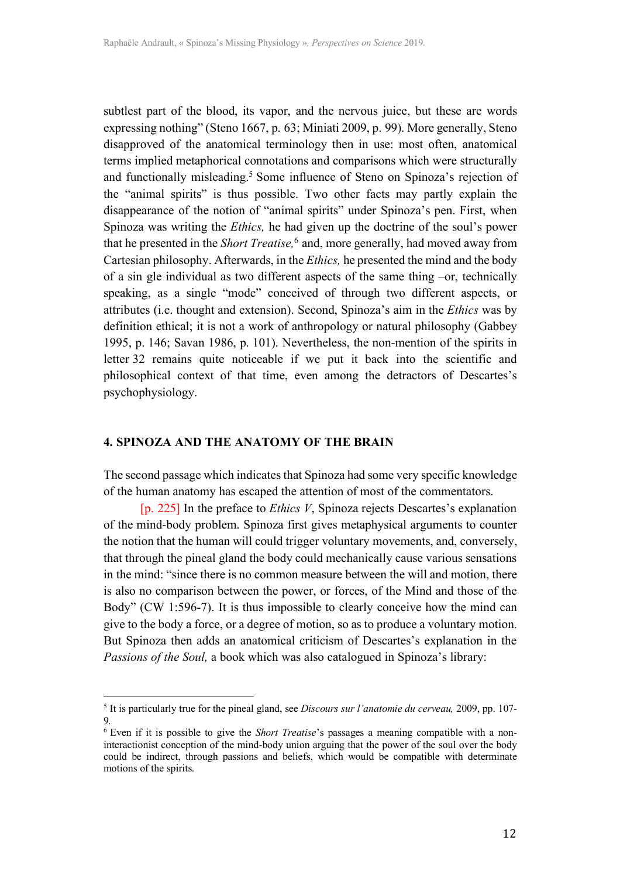subtlest part of the blood, its vapor, and the nervous juice, but these are words expressing nothing" (Steno 1667, p. 63; Miniati 2009, p. 99). More generally, Steno disapproved of the anatomical terminology then in use: most often, anatomical terms implied metaphorical connotations and comparisons which were structurally and functionally misleading. <sup>5</sup> Some influence of Steno on Spinoza's rejection of the "animal spirits" is thus possible. Two other facts may partly explain the disappearance of the notion of "animal spirits" under Spinoza's pen. First, when Spinoza was writing the *Ethics,* he had given up the doctrine of the soul's power that he presented in the *Short Treatise,* <sup>6</sup> and, more generally, had moved away from Cartesian philosophy. Afterwards, in the *Ethics,* he presented the mind and the body of a sin gle individual as two different aspects of the same thing –or, technically speaking, as a single "mode" conceived of through two different aspects, or attributes (i.e. thought and extension). Second, Spinoza's aim in the *Ethics* was by definition ethical; it is not a work of anthropology or natural philosophy (Gabbey 1995, p. 146; Savan 1986, p. 101). Nevertheless, the non-mention of the spirits in letter 32 remains quite noticeable if we put it back into the scientific and philosophical context of that time, even among the detractors of Descartes's psychophysiology.

#### **4. SPINOZA AND THE ANATOMY OF THE BRAIN**

 

The second passage which indicates that Spinoza had some very specific knowledge of the human anatomy has escaped the attention of most of the commentators.

[p. 225] In the preface to *Ethics V*, Spinoza rejects Descartes's explanation of the mind-body problem. Spinoza first gives metaphysical arguments to counter the notion that the human will could trigger voluntary movements, and, conversely, that through the pineal gland the body could mechanically cause various sensations in the mind: "since there is no common measure between the will and motion, there is also no comparison between the power, or forces, of the Mind and those of the Body" (CW 1:596-7). It is thus impossible to clearly conceive how the mind can give to the body a force, or a degree of motion, so as to produce a voluntary motion. But Spinoza then adds an anatomical criticism of Descartes's explanation in the *Passions of the Soul,* a book which was also catalogued in Spinoza's library:

<sup>5</sup> It is particularly true for the pineal gland, see *Discours sur l'anatomie du cerveau,* 2009, pp. 107- 9*.*

<sup>6</sup> Even if it is possible to give the *Short Treatise*'s passages a meaning compatible with a noninteractionist conception of the mind-body union arguing that the power of the soul over the body could be indirect, through passions and beliefs, which would be compatible with determinate motions of the spirits.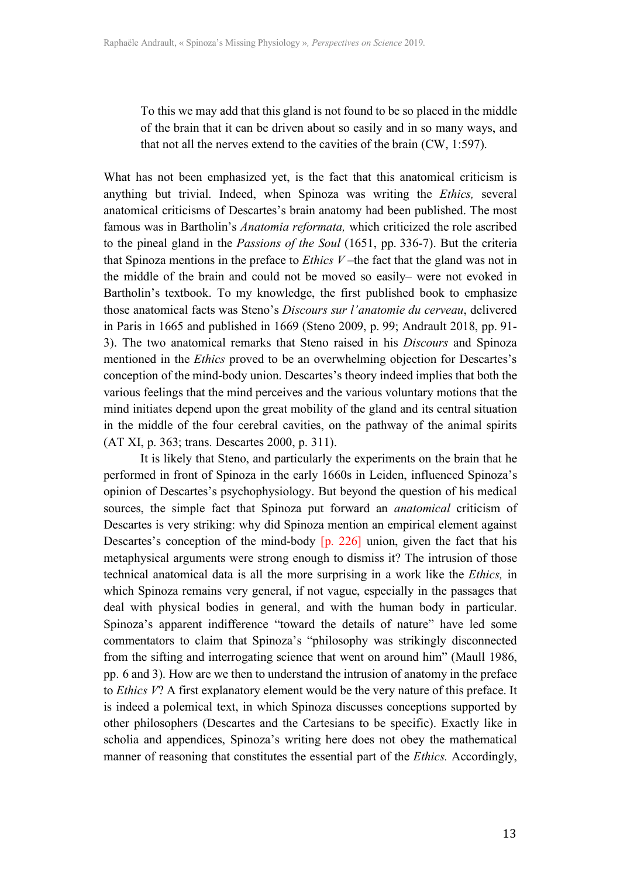To this we may add that this gland is not found to be so placed in the middle of the brain that it can be driven about so easily and in so many ways, and that not all the nerves extend to the cavities of the brain (CW, 1:597).

What has not been emphasized yet, is the fact that this anatomical criticism is anything but trivial. Indeed, when Spinoza was writing the *Ethics,* several anatomical criticisms of Descartes's brain anatomy had been published. The most famous was in Bartholin's *Anatomia reformata,* which criticized the role ascribed to the pineal gland in the *Passions of the Soul* (1651, pp. 336-7). But the criteria that Spinoza mentions in the preface to *Ethics V* –the fact that the gland was not in the middle of the brain and could not be moved so easily– were not evoked in Bartholin's textbook. To my knowledge, the first published book to emphasize those anatomical facts was Steno's *Discours sur l'anatomie du cerveau*, delivered in Paris in 1665 and published in 1669 (Steno 2009, p. 99; Andrault 2018, pp. 91- 3). The two anatomical remarks that Steno raised in his *Discours* and Spinoza mentioned in the *Ethics* proved to be an overwhelming objection for Descartes's conception of the mind-body union. Descartes's theory indeed implies that both the various feelings that the mind perceives and the various voluntary motions that the mind initiates depend upon the great mobility of the gland and its central situation in the middle of the four cerebral cavities, on the pathway of the animal spirits (AT XI, p. 363; trans. Descartes 2000, p. 311).

It is likely that Steno, and particularly the experiments on the brain that he performed in front of Spinoza in the early 1660s in Leiden, influenced Spinoza's opinion of Descartes's psychophysiology. But beyond the question of his medical sources, the simple fact that Spinoza put forward an *anatomical* criticism of Descartes is very striking: why did Spinoza mention an empirical element against Descartes's conception of the mind-body [p. 226] union, given the fact that his metaphysical arguments were strong enough to dismiss it? The intrusion of those technical anatomical data is all the more surprising in a work like the *Ethics,* in which Spinoza remains very general, if not vague, especially in the passages that deal with physical bodies in general, and with the human body in particular. Spinoza's apparent indifference "toward the details of nature" have led some commentators to claim that Spinoza's "philosophy was strikingly disconnected from the sifting and interrogating science that went on around him" (Maull 1986, pp. 6 and 3). How are we then to understand the intrusion of anatomy in the preface to *Ethics V*? A first explanatory element would be the very nature of this preface. It is indeed a polemical text, in which Spinoza discusses conceptions supported by other philosophers (Descartes and the Cartesians to be specific). Exactly like in scholia and appendices, Spinoza's writing here does not obey the mathematical manner of reasoning that constitutes the essential part of the *Ethics.* Accordingly,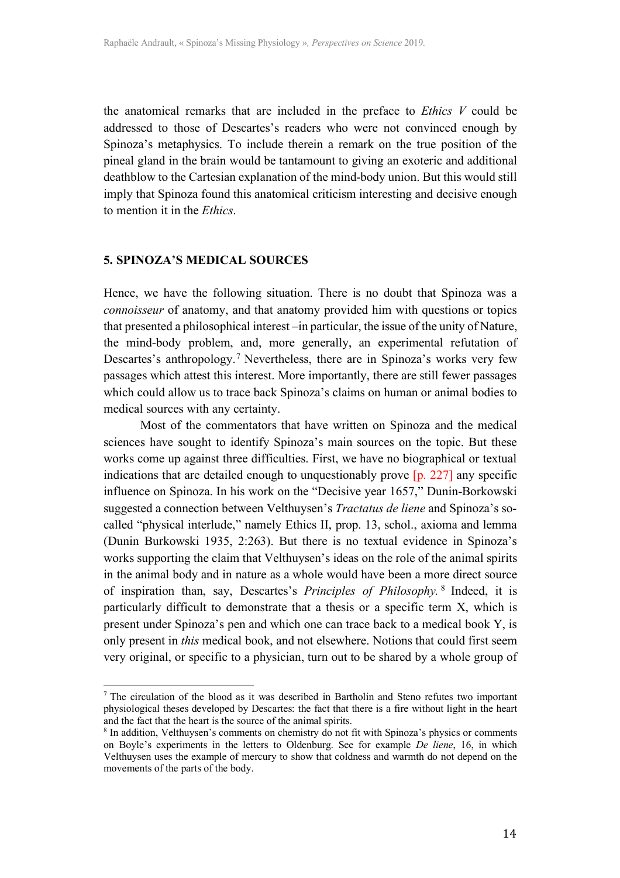the anatomical remarks that are included in the preface to *Ethics V* could be addressed to those of Descartes's readers who were not convinced enough by Spinoza's metaphysics. To include therein a remark on the true position of the pineal gland in the brain would be tantamount to giving an exoteric and additional deathblow to the Cartesian explanation of the mind-body union. But this would still imply that Spinoza found this anatomical criticism interesting and decisive enough to mention it in the *Ethics*.

#### **5. SPINOZA'S MEDICAL SOURCES**

 

Hence, we have the following situation. There is no doubt that Spinoza was a *connoisseur* of anatomy, and that anatomy provided him with questions or topics that presented a philosophical interest –in particular, the issue of the unity of Nature, the mind-body problem, and, more generally, an experimental refutation of Descartes's anthropology. <sup>7</sup> Nevertheless, there are in Spinoza's works very few passages which attest this interest. More importantly, there are still fewer passages which could allow us to trace back Spinoza's claims on human or animal bodies to medical sources with any certainty.

Most of the commentators that have written on Spinoza and the medical sciences have sought to identify Spinoza's main sources on the topic. But these works come up against three difficulties. First, we have no biographical or textual indications that are detailed enough to unquestionably prove [p. 227] any specific influence on Spinoza. In his work on the "Decisive year 1657," Dunin-Borkowski suggested a connection between Velthuysen's *Tractatus de liene* and Spinoza's socalled "physical interlude," namely Ethics II, prop. 13, schol., axioma and lemma (Dunin Burkowski 1935, 2:263). But there is no textual evidence in Spinoza's works supporting the claim that Velthuysen's ideas on the role of the animal spirits in the animal body and in nature as a whole would have been a more direct source of inspiration than, say, Descartes's *Principles of Philosophy.* <sup>8</sup> Indeed, it is particularly difficult to demonstrate that a thesis or a specific term X, which is present under Spinoza's pen and which one can trace back to a medical book Y, is only present in *this* medical book, and not elsewhere. Notions that could first seem very original, or specific to a physician, turn out to be shared by a whole group of

<sup>7</sup> The circulation of the blood as it was described in Bartholin and Steno refutes two important physiological theses developed by Descartes: the fact that there is a fire without light in the heart and the fact that the heart is the source of the animal spirits.

<sup>8</sup> In addition, Velthuysen's comments on chemistry do not fit with Spinoza's physics or comments on Boyle's experiments in the letters to Oldenburg. See for example *De liene*, 16, in which Velthuysen uses the example of mercury to show that coldness and warmth do not depend on the movements of the parts of the body.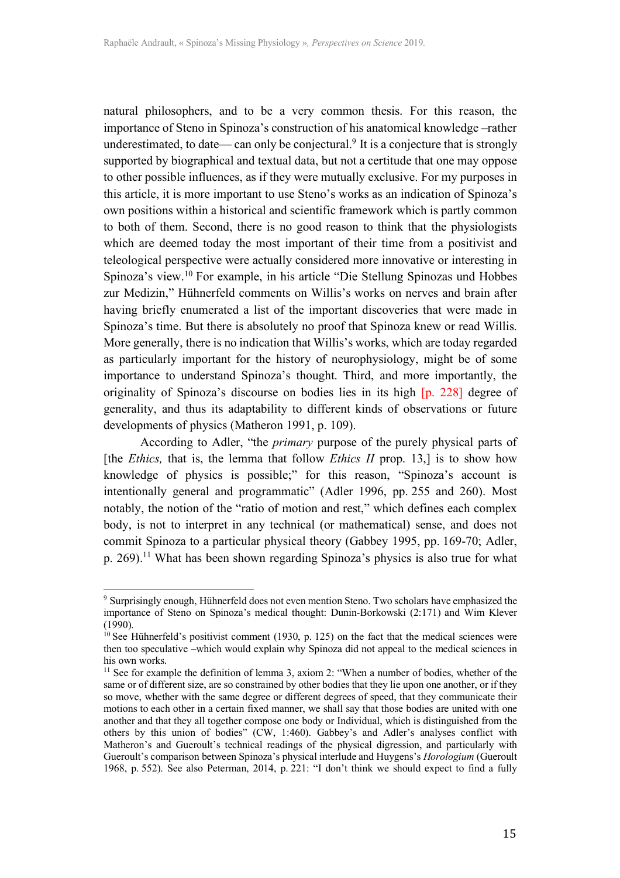natural philosophers, and to be a very common thesis. For this reason, the importance of Steno in Spinoza's construction of his anatomical knowledge –rather underestimated, to date— can only be conjectural. <sup>9</sup> It is a conjecture that is strongly supported by biographical and textual data, but not a certitude that one may oppose to other possible influences, as if they were mutually exclusive. For my purposes in this article, it is more important to use Steno's works as an indication of Spinoza's own positions within a historical and scientific framework which is partly common to both of them. Second, there is no good reason to think that the physiologists which are deemed today the most important of their time from a positivist and teleological perspective were actually considered more innovative or interesting in Spinoza's view.10 For example, in his article "Die Stellung Spinozas und Hobbes zur Medizin," Hühnerfeld comments on Willis's works on nerves and brain after having briefly enumerated a list of the important discoveries that were made in Spinoza's time. But there is absolutely no proof that Spinoza knew or read Willis. More generally, there is no indication that Willis's works, which are today regarded as particularly important for the history of neurophysiology, might be of some importance to understand Spinoza's thought. Third, and more importantly, the originality of Spinoza's discourse on bodies lies in its high [p. 228] degree of generality, and thus its adaptability to different kinds of observations or future developments of physics (Matheron 1991, p. 109).

According to Adler, "the *primary* purpose of the purely physical parts of [the *Ethics,* that is, the lemma that follow *Ethics II* prop. 13,] is to show how knowledge of physics is possible;" for this reason, "Spinoza's account is intentionally general and programmatic" (Adler 1996, pp. 255 and 260). Most notably, the notion of the "ratio of motion and rest," which defines each complex body, is not to interpret in any technical (or mathematical) sense, and does not commit Spinoza to a particular physical theory (Gabbey 1995, pp. 169-70; Adler, p. 269).11 What has been shown regarding Spinoza's physics is also true for what

 

<sup>9</sup> Surprisingly enough, Hühnerfeld does not even mention Steno. Two scholars have emphasized the importance of Steno on Spinoza's medical thought: Dunin-Borkowski (2:171) and Wim Klever  $(1990)$ 

 $10$  See Hühnerfeld's positivist comment (1930, p. 125) on the fact that the medical sciences were then too speculative –which would explain why Spinoza did not appeal to the medical sciences in his own works.

 $11$  See for example the definition of lemma 3, axiom 2: "When a number of bodies, whether of the same or of different size, are so constrained by other bodies that they lie upon one another, or if they so move, whether with the same degree or different degrees of speed, that they communicate their motions to each other in a certain fixed manner, we shall say that those bodies are united with one another and that they all together compose one body or Individual, which is distinguished from the others by this union of bodies" (CW, 1:460). Gabbey's and Adler's analyses conflict with Matheron's and Gueroult's technical readings of the physical digression, and particularly with Gueroult's comparison between Spinoza's physical interlude and Huygens's *Horologium* (Gueroult 1968, p. 552). See also Peterman, 2014, p. 221: "I don't think we should expect to find a fully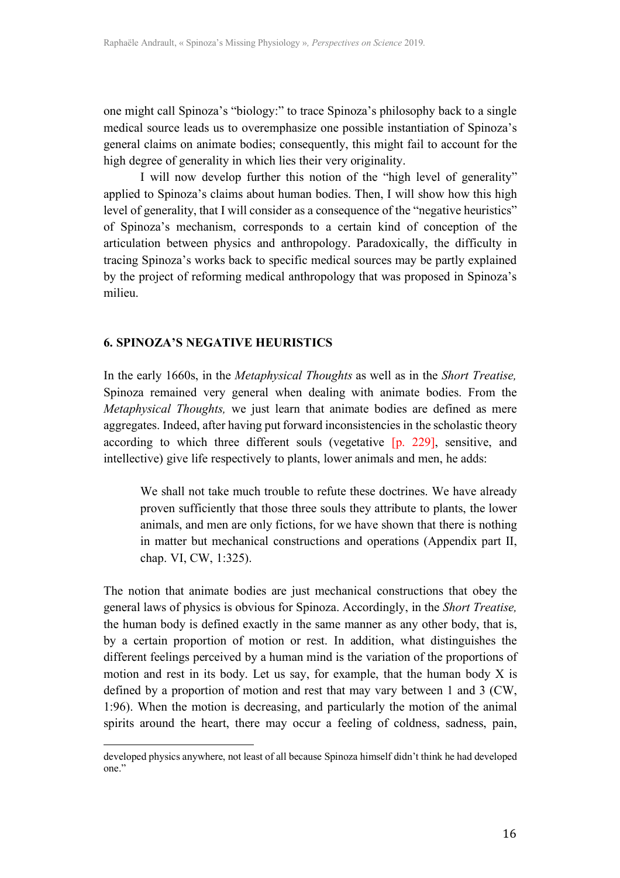one might call Spinoza's "biology:" to trace Spinoza's philosophy back to a single medical source leads us to overemphasize one possible instantiation of Spinoza's general claims on animate bodies; consequently, this might fail to account for the high degree of generality in which lies their very originality.

I will now develop further this notion of the "high level of generality" applied to Spinoza's claims about human bodies. Then, I will show how this high level of generality, that I will consider as a consequence of the "negative heuristics" of Spinoza's mechanism, corresponds to a certain kind of conception of the articulation between physics and anthropology. Paradoxically, the difficulty in tracing Spinoza's works back to specific medical sources may be partly explained by the project of reforming medical anthropology that was proposed in Spinoza's milieu.

#### **6. SPINOZA'S NEGATIVE HEURISTICS**

 

In the early 1660s, in the *Metaphysical Thoughts* as well as in the *Short Treatise,*  Spinoza remained very general when dealing with animate bodies. From the *Metaphysical Thoughts,* we just learn that animate bodies are defined as mere aggregates. Indeed, after having put forward inconsistencies in the scholastic theory according to which three different souls (vegetative [p. 229], sensitive, and intellective) give life respectively to plants, lower animals and men, he adds:

We shall not take much trouble to refute these doctrines. We have already proven sufficiently that those three souls they attribute to plants, the lower animals, and men are only fictions, for we have shown that there is nothing in matter but mechanical constructions and operations (Appendix part II, chap. VI, CW, 1:325).

The notion that animate bodies are just mechanical constructions that obey the general laws of physics is obvious for Spinoza. Accordingly, in the *Short Treatise,*  the human body is defined exactly in the same manner as any other body, that is, by a certain proportion of motion or rest. In addition, what distinguishes the different feelings perceived by a human mind is the variation of the proportions of motion and rest in its body. Let us say, for example, that the human body X is defined by a proportion of motion and rest that may vary between 1 and 3 (CW, 1:96). When the motion is decreasing, and particularly the motion of the animal spirits around the heart, there may occur a feeling of coldness, sadness, pain,

developed physics anywhere, not least of all because Spinoza himself didn't think he had developed one."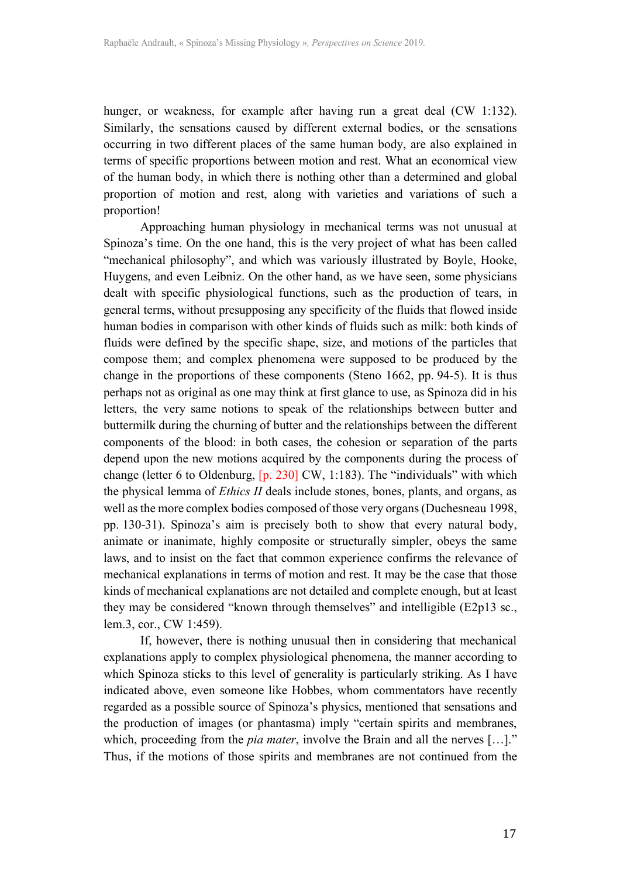hunger, or weakness, for example after having run a great deal (CW 1:132). Similarly, the sensations caused by different external bodies, or the sensations occurring in two different places of the same human body, are also explained in terms of specific proportions between motion and rest. What an economical view of the human body, in which there is nothing other than a determined and global proportion of motion and rest, along with varieties and variations of such a proportion!

Approaching human physiology in mechanical terms was not unusual at Spinoza's time. On the one hand, this is the very project of what has been called "mechanical philosophy", and which was variously illustrated by Boyle, Hooke, Huygens, and even Leibniz. On the other hand, as we have seen, some physicians dealt with specific physiological functions, such as the production of tears, in general terms, without presupposing any specificity of the fluids that flowed inside human bodies in comparison with other kinds of fluids such as milk: both kinds of fluids were defined by the specific shape, size, and motions of the particles that compose them; and complex phenomena were supposed to be produced by the change in the proportions of these components (Steno 1662, pp. 94-5). It is thus perhaps not as original as one may think at first glance to use, as Spinoza did in his letters, the very same notions to speak of the relationships between butter and buttermilk during the churning of butter and the relationships between the different components of the blood: in both cases, the cohesion or separation of the parts depend upon the new motions acquired by the components during the process of change (letter 6 to Oldenburg, [p. 230] CW, 1:183). The "individuals" with which the physical lemma of *Ethics II* deals include stones, bones, plants, and organs, as well as the more complex bodies composed of those very organs (Duchesneau 1998, pp. 130-31). Spinoza's aim is precisely both to show that every natural body, animate or inanimate, highly composite or structurally simpler, obeys the same laws, and to insist on the fact that common experience confirms the relevance of mechanical explanations in terms of motion and rest. It may be the case that those kinds of mechanical explanations are not detailed and complete enough, but at least they may be considered "known through themselves" and intelligible (E2p13 sc., lem.3, cor., CW 1:459).

If, however, there is nothing unusual then in considering that mechanical explanations apply to complex physiological phenomena, the manner according to which Spinoza sticks to this level of generality is particularly striking. As I have indicated above, even someone like Hobbes, whom commentators have recently regarded as a possible source of Spinoza's physics, mentioned that sensations and the production of images (or phantasma) imply "certain spirits and membranes, which, proceeding from the *pia mater*, involve the Brain and all the nerves [...]." Thus, if the motions of those spirits and membranes are not continued from the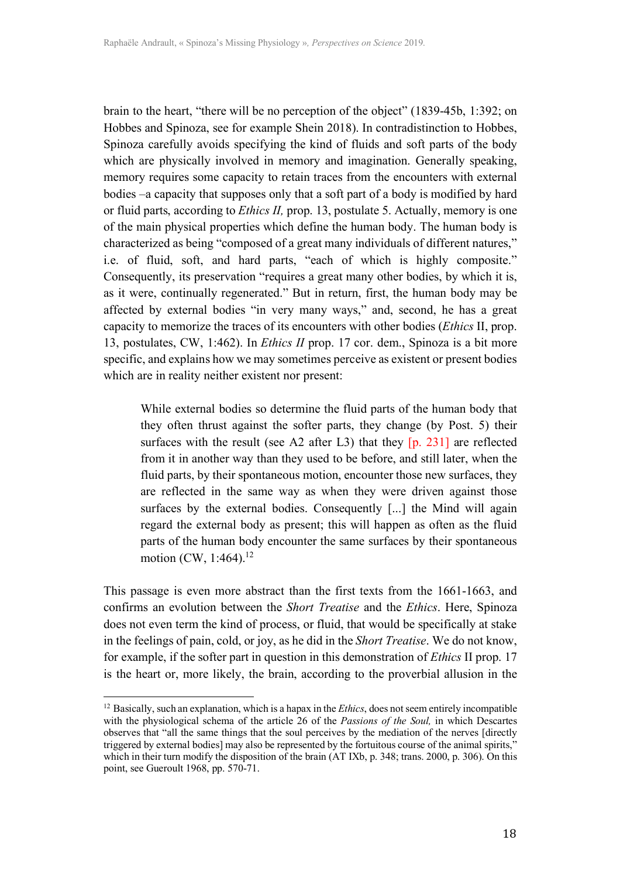brain to the heart, "there will be no perception of the object" (1839-45b, 1:392; on Hobbes and Spinoza, see for example Shein 2018). In contradistinction to Hobbes, Spinoza carefully avoids specifying the kind of fluids and soft parts of the body which are physically involved in memory and imagination. Generally speaking, memory requires some capacity to retain traces from the encounters with external bodies –a capacity that supposes only that a soft part of a body is modified by hard or fluid parts, according to *Ethics II,* prop. 13, postulate 5. Actually, memory is one of the main physical properties which define the human body. The human body is characterized as being "composed of a great many individuals of different natures," i.e. of fluid, soft, and hard parts, "each of which is highly composite." Consequently, its preservation "requires a great many other bodies, by which it is, as it were, continually regenerated." But in return, first, the human body may be affected by external bodies "in very many ways," and, second, he has a great capacity to memorize the traces of its encounters with other bodies (*Ethics* II, prop. 13, postulates, CW, 1:462). In *Ethics II* prop. 17 cor. dem., Spinoza is a bit more specific, and explains how we may sometimes perceive as existent or present bodies which are in reality neither existent nor present:

While external bodies so determine the fluid parts of the human body that they often thrust against the softer parts, they change (by Post. 5) their surfaces with the result (see A2 after L3) that they [p. 231] are reflected from it in another way than they used to be before, and still later, when the fluid parts, by their spontaneous motion, encounter those new surfaces, they are reflected in the same way as when they were driven against those surfaces by the external bodies. Consequently [...] the Mind will again regard the external body as present; this will happen as often as the fluid parts of the human body encounter the same surfaces by their spontaneous motion (CW, 1:464).<sup>12</sup>

This passage is even more abstract than the first texts from the 1661-1663, and confirms an evolution between the *Short Treatise* and the *Ethics*. Here, Spinoza does not even term the kind of process, or fluid, that would be specifically at stake in the feelings of pain, cold, or joy, as he did in the *Short Treatise*. We do not know, for example, if the softer part in question in this demonstration of *Ethics* II prop. 17 is the heart or, more likely, the brain, according to the proverbial allusion in the

 

<sup>12</sup> Basically, such an explanation, which is a hapax in the *Ethics*, does not seem entirely incompatible with the physiological schema of the article 26 of the *Passions of the Soul,* in which Descartes observes that "all the same things that the soul perceives by the mediation of the nerves [directly triggered by external bodies] may also be represented by the fortuitous course of the animal spirits," which in their turn modify the disposition of the brain (AT IXb, p. 348; trans. 2000, p. 306). On this point, see Gueroult 1968, pp. 570-71.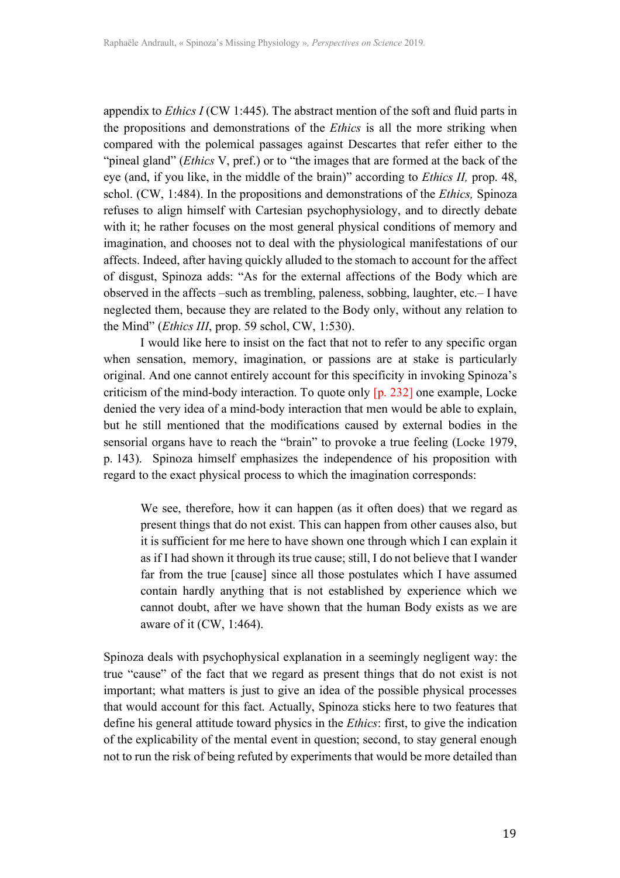appendix to *Ethics I* (CW 1:445). The abstract mention of the soft and fluid parts in the propositions and demonstrations of the *Ethics* is all the more striking when compared with the polemical passages against Descartes that refer either to the "pineal gland" (*Ethics* V, pref.) or to "the images that are formed at the back of the eye (and, if you like, in the middle of the brain)" according to *Ethics II,* prop. 48, schol. (CW, 1:484). In the propositions and demonstrations of the *Ethics,* Spinoza refuses to align himself with Cartesian psychophysiology, and to directly debate with it; he rather focuses on the most general physical conditions of memory and imagination, and chooses not to deal with the physiological manifestations of our affects. Indeed, after having quickly alluded to the stomach to account for the affect of disgust, Spinoza adds: "As for the external affections of the Body which are observed in the affects –such as trembling, paleness, sobbing, laughter, etc.– I have neglected them, because they are related to the Body only, without any relation to the Mind" (*Ethics III*, prop. 59 schol, CW, 1:530).

I would like here to insist on the fact that not to refer to any specific organ when sensation, memory, imagination, or passions are at stake is particularly original. And one cannot entirely account for this specificity in invoking Spinoza's criticism of the mind-body interaction. To quote only [p. 232] one example, Locke denied the very idea of a mind-body interaction that men would be able to explain, but he still mentioned that the modifications caused by external bodies in the sensorial organs have to reach the "brain" to provoke a true feeling (Locke 1979, p. 143). Spinoza himself emphasizes the independence of his proposition with regard to the exact physical process to which the imagination corresponds:

We see, therefore, how it can happen (as it often does) that we regard as present things that do not exist. This can happen from other causes also, but it is sufficient for me here to have shown one through which I can explain it as if I had shown it through its true cause; still, I do not believe that I wander far from the true [cause] since all those postulates which I have assumed contain hardly anything that is not established by experience which we cannot doubt, after we have shown that the human Body exists as we are aware of it (CW, 1:464).

Spinoza deals with psychophysical explanation in a seemingly negligent way: the true "cause" of the fact that we regard as present things that do not exist is not important; what matters is just to give an idea of the possible physical processes that would account for this fact. Actually, Spinoza sticks here to two features that define his general attitude toward physics in the *Ethics*: first, to give the indication of the explicability of the mental event in question; second, to stay general enough not to run the risk of being refuted by experiments that would be more detailed than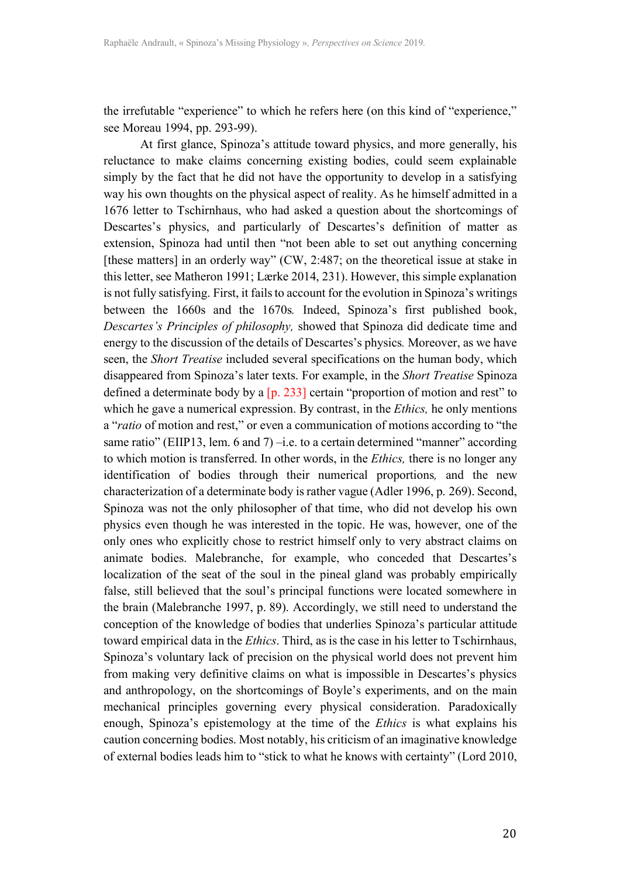the irrefutable "experience" to which he refers here (on this kind of "experience," see Moreau 1994, pp. 293-99).

At first glance, Spinoza's attitude toward physics, and more generally, his reluctance to make claims concerning existing bodies, could seem explainable simply by the fact that he did not have the opportunity to develop in a satisfying way his own thoughts on the physical aspect of reality. As he himself admitted in a 1676 letter to Tschirnhaus, who had asked a question about the shortcomings of Descartes's physics, and particularly of Descartes's definition of matter as extension, Spinoza had until then "not been able to set out anything concerning [these matters] in an orderly way" (CW, 2:487; on the theoretical issue at stake in this letter, see Matheron 1991; Lærke 2014, 231). However, this simple explanation is not fully satisfying. First, it fails to account for the evolution in Spinoza's writings between the 1660s and the 1670s*.* Indeed, Spinoza's first published book, *Descartes's Principles of philosophy,* showed that Spinoza did dedicate time and energy to the discussion of the details of Descartes's physics*.* Moreover, as we have seen, the *Short Treatise* included several specifications on the human body, which disappeared from Spinoza's later texts. For example, in the *Short Treatise* Spinoza defined a determinate body by a [p. 233] certain "proportion of motion and rest" to which he gave a numerical expression. By contrast, in the *Ethics,* he only mentions a "*ratio* of motion and rest," or even a communication of motions according to "the same ratio" (EIIP13, lem. 6 and 7) –i.e. to a certain determined "manner" according to which motion is transferred. In other words, in the *Ethics,* there is no longer any identification of bodies through their numerical proportions*,* and the new characterization of a determinate body is rather vague (Adler 1996, p. 269). Second, Spinoza was not the only philosopher of that time, who did not develop his own physics even though he was interested in the topic. He was, however, one of the only ones who explicitly chose to restrict himself only to very abstract claims on animate bodies. Malebranche, for example, who conceded that Descartes's localization of the seat of the soul in the pineal gland was probably empirically false, still believed that the soul's principal functions were located somewhere in the brain (Malebranche 1997, p. 89). Accordingly, we still need to understand the conception of the knowledge of bodies that underlies Spinoza's particular attitude toward empirical data in the *Ethics*. Third, as is the case in his letter to Tschirnhaus, Spinoza's voluntary lack of precision on the physical world does not prevent him from making very definitive claims on what is impossible in Descartes's physics and anthropology, on the shortcomings of Boyle's experiments, and on the main mechanical principles governing every physical consideration. Paradoxically enough, Spinoza's epistemology at the time of the *Ethics* is what explains his caution concerning bodies. Most notably, his criticism of an imaginative knowledge of external bodies leads him to "stick to what he knows with certainty" (Lord 2010,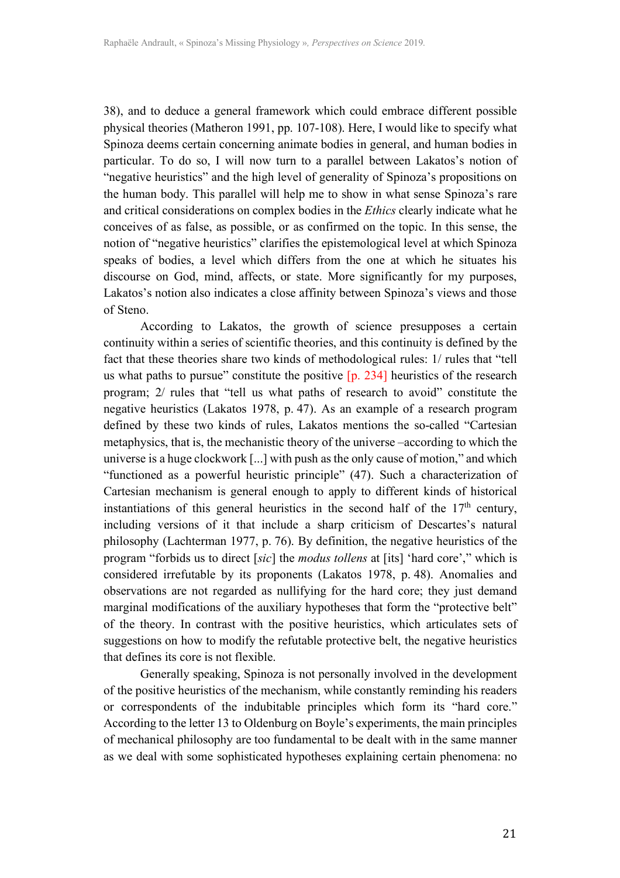38), and to deduce a general framework which could embrace different possible physical theories (Matheron 1991, pp. 107-108). Here, I would like to specify what Spinoza deems certain concerning animate bodies in general, and human bodies in particular. To do so, I will now turn to a parallel between Lakatos's notion of "negative heuristics" and the high level of generality of Spinoza's propositions on the human body. This parallel will help me to show in what sense Spinoza's rare and critical considerations on complex bodies in the *Ethics* clearly indicate what he conceives of as false, as possible, or as confirmed on the topic. In this sense, the notion of "negative heuristics" clarifies the epistemological level at which Spinoza speaks of bodies, a level which differs from the one at which he situates his discourse on God, mind, affects, or state. More significantly for my purposes, Lakatos's notion also indicates a close affinity between Spinoza's views and those of Steno.

According to Lakatos, the growth of science presupposes a certain continuity within a series of scientific theories, and this continuity is defined by the fact that these theories share two kinds of methodological rules: 1/ rules that "tell us what paths to pursue" constitute the positive  $[p. 234]$  heuristics of the research program; 2/ rules that "tell us what paths of research to avoid" constitute the negative heuristics (Lakatos 1978, p. 47). As an example of a research program defined by these two kinds of rules, Lakatos mentions the so-called "Cartesian metaphysics, that is, the mechanistic theory of the universe –according to which the universe is a huge clockwork [...] with push as the only cause of motion," and which "functioned as a powerful heuristic principle" (47). Such a characterization of Cartesian mechanism is general enough to apply to different kinds of historical instantiations of this general heuristics in the second half of the  $17<sup>th</sup>$  century, including versions of it that include a sharp criticism of Descartes's natural philosophy (Lachterman 1977, p. 76). By definition, the negative heuristics of the program "forbids us to direct [*sic*] the *modus tollens* at [its] 'hard core'," which is considered irrefutable by its proponents (Lakatos 1978, p. 48). Anomalies and observations are not regarded as nullifying for the hard core; they just demand marginal modifications of the auxiliary hypotheses that form the "protective belt" of the theory. In contrast with the positive heuristics, which articulates sets of suggestions on how to modify the refutable protective belt, the negative heuristics that defines its core is not flexible.

Generally speaking, Spinoza is not personally involved in the development of the positive heuristics of the mechanism, while constantly reminding his readers or correspondents of the indubitable principles which form its "hard core." According to the letter 13 to Oldenburg on Boyle's experiments, the main principles of mechanical philosophy are too fundamental to be dealt with in the same manner as we deal with some sophisticated hypotheses explaining certain phenomena: no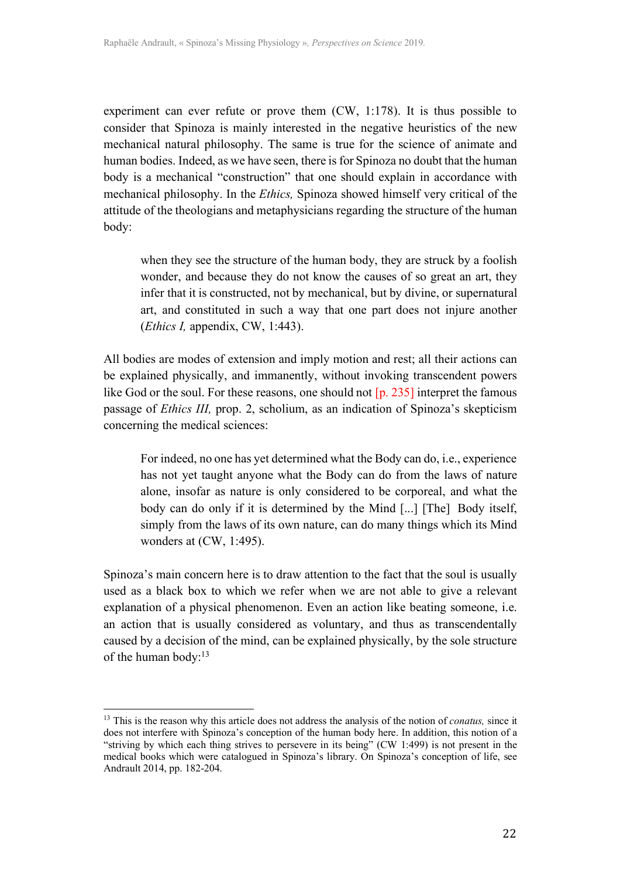experiment can ever refute or prove them (CW, 1:178). It is thus possible to consider that Spinoza is mainly interested in the negative heuristics of the new mechanical natural philosophy. The same is true for the science of animate and human bodies. Indeed, as we have seen, there is for Spinoza no doubt that the human body is a mechanical "construction" that one should explain in accordance with mechanical philosophy. In the *Ethics,* Spinoza showed himself very critical of the attitude of the theologians and metaphysicians regarding the structure of the human body:

when they see the structure of the human body, they are struck by a foolish wonder, and because they do not know the causes of so great an art, they infer that it is constructed, not by mechanical, but by divine, or supernatural art, and constituted in such a way that one part does not injure another (*Ethics I,* appendix, CW, 1:443).

All bodies are modes of extension and imply motion and rest; all their actions can be explained physically, and immanently, without invoking transcendent powers like God or the soul. For these reasons, one should not [p. 235] interpret the famous passage of *Ethics III,* prop. 2, scholium, as an indication of Spinoza's skepticism concerning the medical sciences:

For indeed, no one has yet determined what the Body can do, i.e., experience has not yet taught anyone what the Body can do from the laws of nature alone, insofar as nature is only considered to be corporeal, and what the body can do only if it is determined by the Mind [...] [The] Body itself, simply from the laws of its own nature, can do many things which its Mind wonders at (CW, 1:495).

Spinoza's main concern here is to draw attention to the fact that the soul is usually used as a black box to which we refer when we are not able to give a relevant explanation of a physical phenomenon. Even an action like beating someone, i.e. an action that is usually considered as voluntary, and thus as transcendentally caused by a decision of the mind, can be explained physically, by the sole structure of the human body:<sup>13</sup>

 

<sup>13</sup> This is the reason why this article does not address the analysis of the notion of *conatus,* since it does not interfere with Spinoza's conception of the human body here. In addition, this notion of a "striving by which each thing strives to persevere in its being" (CW 1:499) is not present in the medical books which were catalogued in Spinoza's library. On Spinoza's conception of life, see Andrault 2014, pp. 182-204.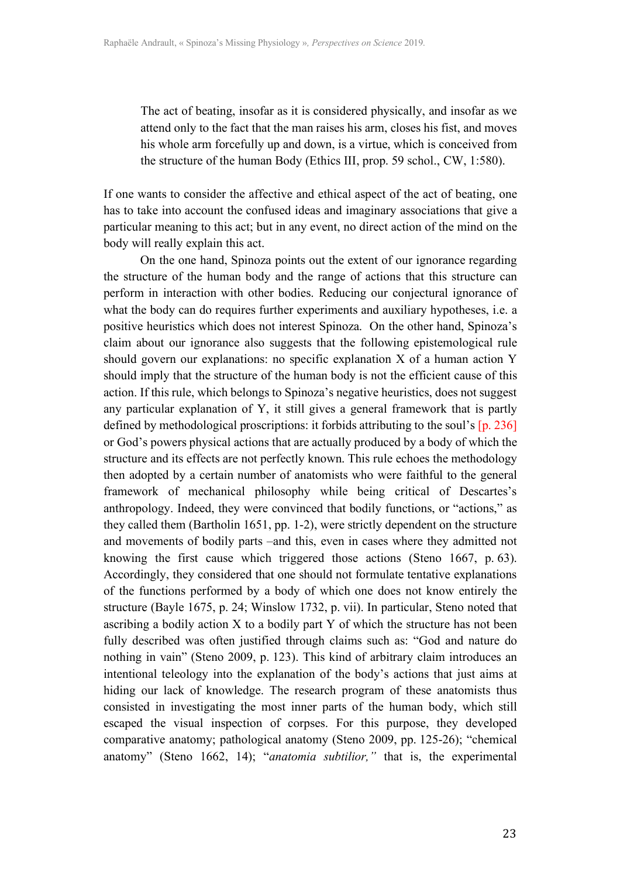The act of beating, insofar as it is considered physically, and insofar as we attend only to the fact that the man raises his arm, closes his fist, and moves his whole arm forcefully up and down, is a virtue, which is conceived from the structure of the human Body (Ethics III, prop. 59 schol., CW, 1:580).

If one wants to consider the affective and ethical aspect of the act of beating, one has to take into account the confused ideas and imaginary associations that give a particular meaning to this act; but in any event, no direct action of the mind on the body will really explain this act.

On the one hand, Spinoza points out the extent of our ignorance regarding the structure of the human body and the range of actions that this structure can perform in interaction with other bodies. Reducing our conjectural ignorance of what the body can do requires further experiments and auxiliary hypotheses, i.e. a positive heuristics which does not interest Spinoza. On the other hand, Spinoza's claim about our ignorance also suggests that the following epistemological rule should govern our explanations: no specific explanation X of a human action Y should imply that the structure of the human body is not the efficient cause of this action. If this rule, which belongs to Spinoza's negative heuristics, does not suggest any particular explanation of Y, it still gives a general framework that is partly defined by methodological proscriptions: it forbids attributing to the soul's [p. 236] or God's powers physical actions that are actually produced by a body of which the structure and its effects are not perfectly known. This rule echoes the methodology then adopted by a certain number of anatomists who were faithful to the general framework of mechanical philosophy while being critical of Descartes's anthropology. Indeed, they were convinced that bodily functions, or "actions," as they called them (Bartholin 1651, pp. 1-2), were strictly dependent on the structure and movements of bodily parts –and this, even in cases where they admitted not knowing the first cause which triggered those actions (Steno 1667, p. 63). Accordingly, they considered that one should not formulate tentative explanations of the functions performed by a body of which one does not know entirely the structure (Bayle 1675, p. 24; Winslow 1732, p. vii). In particular, Steno noted that ascribing a bodily action X to a bodily part Y of which the structure has not been fully described was often justified through claims such as: "God and nature do nothing in vain" (Steno 2009, p. 123). This kind of arbitrary claim introduces an intentional teleology into the explanation of the body's actions that just aims at hiding our lack of knowledge. The research program of these anatomists thus consisted in investigating the most inner parts of the human body, which still escaped the visual inspection of corpses. For this purpose, they developed comparative anatomy; pathological anatomy (Steno 2009, pp. 125-26); "chemical anatomy" (Steno 1662, 14); "*anatomia subtilior,"* that is, the experimental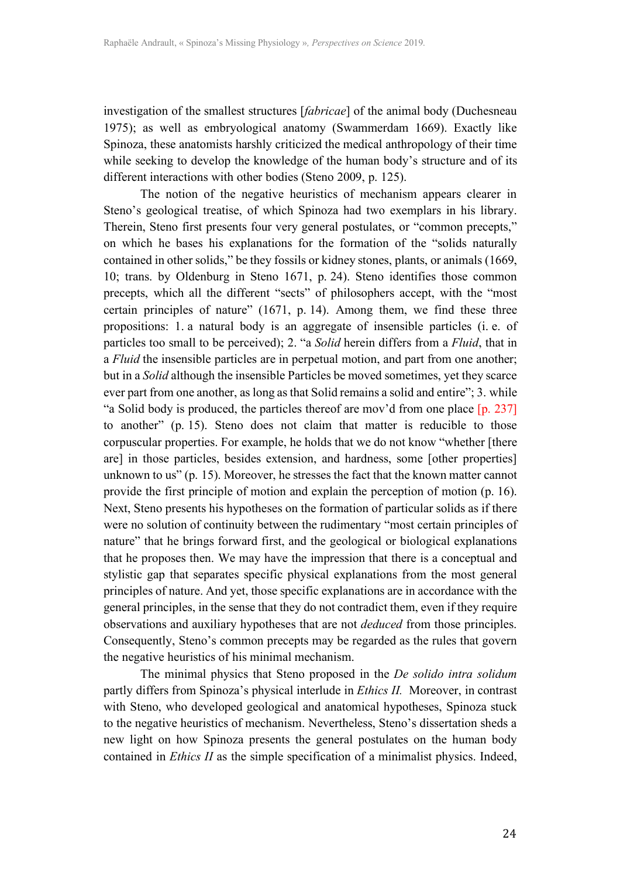investigation of the smallest structures [*fabricae*] of the animal body (Duchesneau 1975); as well as embryological anatomy (Swammerdam 1669). Exactly like Spinoza, these anatomists harshly criticized the medical anthropology of their time while seeking to develop the knowledge of the human body's structure and of its different interactions with other bodies (Steno 2009, p. 125).

The notion of the negative heuristics of mechanism appears clearer in Steno's geological treatise, of which Spinoza had two exemplars in his library. Therein, Steno first presents four very general postulates, or "common precepts," on which he bases his explanations for the formation of the "solids naturally contained in other solids," be they fossils or kidney stones, plants, or animals (1669, 10; trans. by Oldenburg in Steno 1671, p. 24). Steno identifies those common precepts, which all the different "sects" of philosophers accept, with the "most certain principles of nature" (1671, p. 14). Among them, we find these three propositions: 1. a natural body is an aggregate of insensible particles (i. e. of particles too small to be perceived); 2. "a *Solid* herein differs from a *Fluid*, that in a *Fluid* the insensible particles are in perpetual motion, and part from one another; but in a *Solid* although the insensible Particles be moved sometimes, yet they scarce ever part from one another, as long as that Solid remains a solid and entire"; 3. while "a Solid body is produced, the particles thereof are mov'd from one place [p. 237] to another" (p. 15). Steno does not claim that matter is reducible to those corpuscular properties. For example, he holds that we do not know "whether [there are] in those particles, besides extension, and hardness, some [other properties] unknown to us" (p. 15). Moreover, he stresses the fact that the known matter cannot provide the first principle of motion and explain the perception of motion (p. 16). Next, Steno presents his hypotheses on the formation of particular solids as if there were no solution of continuity between the rudimentary "most certain principles of nature" that he brings forward first, and the geological or biological explanations that he proposes then. We may have the impression that there is a conceptual and stylistic gap that separates specific physical explanations from the most general principles of nature. And yet, those specific explanations are in accordance with the general principles, in the sense that they do not contradict them, even if they require observations and auxiliary hypotheses that are not *deduced* from those principles. Consequently, Steno's common precepts may be regarded as the rules that govern the negative heuristics of his minimal mechanism.

The minimal physics that Steno proposed in the *De solido intra solidum* partly differs from Spinoza's physical interlude in *Ethics II.* Moreover, in contrast with Steno, who developed geological and anatomical hypotheses, Spinoza stuck to the negative heuristics of mechanism. Nevertheless, Steno's dissertation sheds a new light on how Spinoza presents the general postulates on the human body contained in *Ethics II* as the simple specification of a minimalist physics. Indeed,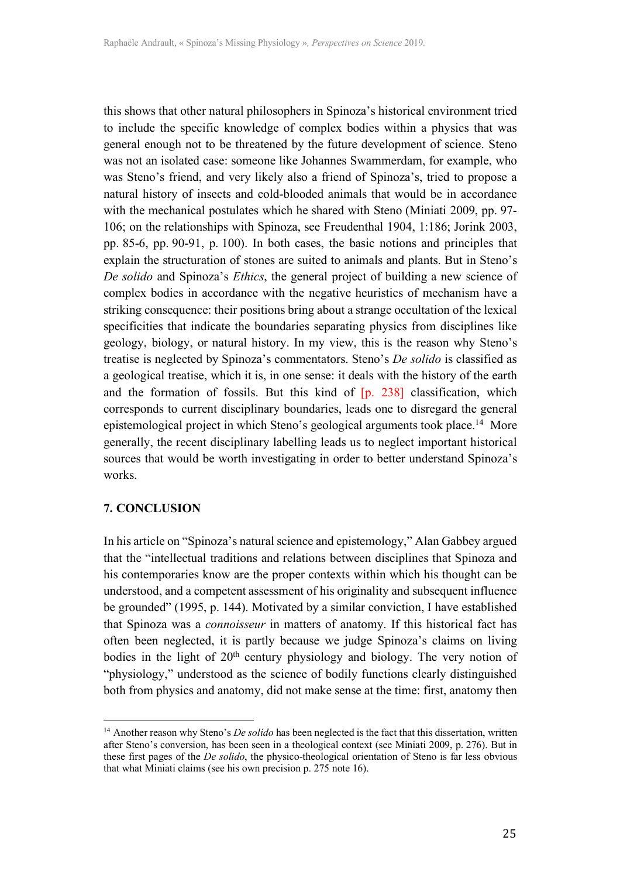this shows that other natural philosophers in Spinoza's historical environment tried to include the specific knowledge of complex bodies within a physics that was general enough not to be threatened by the future development of science. Steno was not an isolated case: someone like Johannes Swammerdam, for example, who was Steno's friend, and very likely also a friend of Spinoza's, tried to propose a natural history of insects and cold-blooded animals that would be in accordance with the mechanical postulates which he shared with Steno (Miniati 2009, pp. 97- 106; on the relationships with Spinoza, see Freudenthal 1904, 1:186; Jorink 2003, pp. 85-6, pp. 90-91, p. 100). In both cases, the basic notions and principles that explain the structuration of stones are suited to animals and plants. But in Steno's *De solido* and Spinoza's *Ethics*, the general project of building a new science of complex bodies in accordance with the negative heuristics of mechanism have a striking consequence: their positions bring about a strange occultation of the lexical specificities that indicate the boundaries separating physics from disciplines like geology, biology, or natural history. In my view, this is the reason why Steno's treatise is neglected by Spinoza's commentators. Steno's *De solido* is classified as a geological treatise, which it is, in one sense: it deals with the history of the earth and the formation of fossils. But this kind of [p. 238] classification, which corresponds to current disciplinary boundaries, leads one to disregard the general epistemological project in which Steno's geological arguments took place.14 More generally, the recent disciplinary labelling leads us to neglect important historical sources that would be worth investigating in order to better understand Spinoza's works.

## **7. CONCLUSION**

 

In his article on "Spinoza's natural science and epistemology," Alan Gabbey argued that the "intellectual traditions and relations between disciplines that Spinoza and his contemporaries know are the proper contexts within which his thought can be understood, and a competent assessment of his originality and subsequent influence be grounded" (1995, p. 144). Motivated by a similar conviction, I have established that Spinoza was a *connoisseur* in matters of anatomy. If this historical fact has often been neglected, it is partly because we judge Spinoza's claims on living bodies in the light of  $20<sup>th</sup>$  century physiology and biology. The very notion of "physiology," understood as the science of bodily functions clearly distinguished both from physics and anatomy, did not make sense at the time: first, anatomy then

<sup>&</sup>lt;sup>14</sup> Another reason why Steno's *De solido* has been neglected is the fact that this dissertation, written after Steno's conversion, has been seen in a theological context (see Miniati 2009, p. 276). But in these first pages of the *De solido*, the physico-theological orientation of Steno is far less obvious that what Miniati claims (see his own precision p. 275 note 16).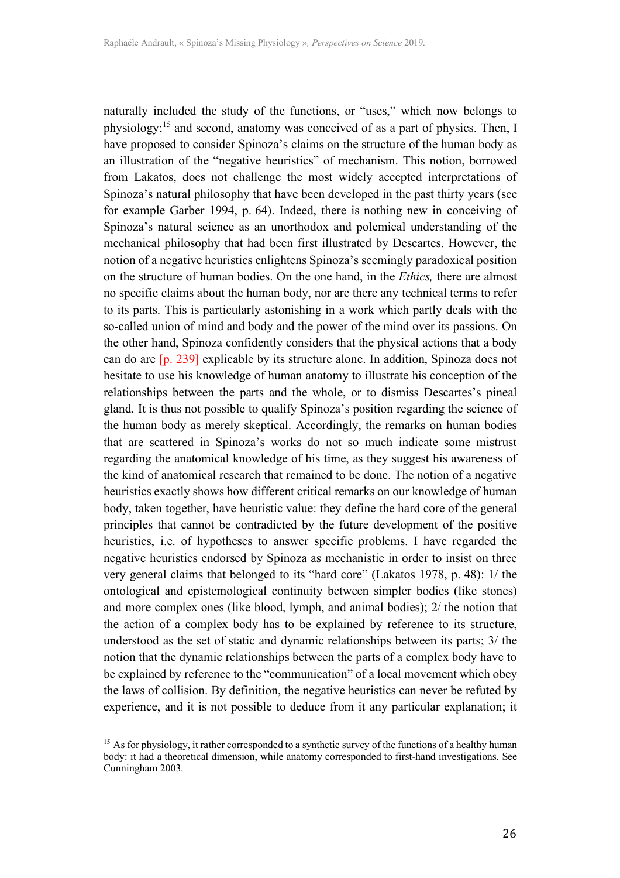naturally included the study of the functions, or "uses," which now belongs to physiology; <sup>15</sup> and second, anatomy was conceived of as a part of physics. Then, I have proposed to consider Spinoza's claims on the structure of the human body as an illustration of the "negative heuristics" of mechanism. This notion, borrowed from Lakatos, does not challenge the most widely accepted interpretations of Spinoza's natural philosophy that have been developed in the past thirty years (see for example Garber 1994, p. 64). Indeed, there is nothing new in conceiving of Spinoza's natural science as an unorthodox and polemical understanding of the mechanical philosophy that had been first illustrated by Descartes. However, the notion of a negative heuristics enlightens Spinoza's seemingly paradoxical position on the structure of human bodies. On the one hand, in the *Ethics,* there are almost no specific claims about the human body, nor are there any technical terms to refer to its parts. This is particularly astonishing in a work which partly deals with the so-called union of mind and body and the power of the mind over its passions. On the other hand, Spinoza confidently considers that the physical actions that a body can do are [p. 239] explicable by its structure alone. In addition, Spinoza does not hesitate to use his knowledge of human anatomy to illustrate his conception of the relationships between the parts and the whole, or to dismiss Descartes's pineal gland. It is thus not possible to qualify Spinoza's position regarding the science of the human body as merely skeptical. Accordingly, the remarks on human bodies that are scattered in Spinoza's works do not so much indicate some mistrust regarding the anatomical knowledge of his time, as they suggest his awareness of the kind of anatomical research that remained to be done. The notion of a negative heuristics exactly shows how different critical remarks on our knowledge of human body, taken together, have heuristic value: they define the hard core of the general principles that cannot be contradicted by the future development of the positive heuristics, i.e. of hypotheses to answer specific problems. I have regarded the negative heuristics endorsed by Spinoza as mechanistic in order to insist on three very general claims that belonged to its "hard core" (Lakatos 1978, p. 48): 1/ the ontological and epistemological continuity between simpler bodies (like stones) and more complex ones (like blood, lymph, and animal bodies); 2/ the notion that the action of a complex body has to be explained by reference to its structure, understood as the set of static and dynamic relationships between its parts; 3/ the notion that the dynamic relationships between the parts of a complex body have to be explained by reference to the "communication" of a local movement which obey the laws of collision. By definition, the negative heuristics can never be refuted by experience, and it is not possible to deduce from it any particular explanation; it

 

<sup>&</sup>lt;sup>15</sup> As for physiology, it rather corresponded to a synthetic survey of the functions of a healthy human body: it had a theoretical dimension, while anatomy corresponded to first-hand investigations. See Cunningham 2003.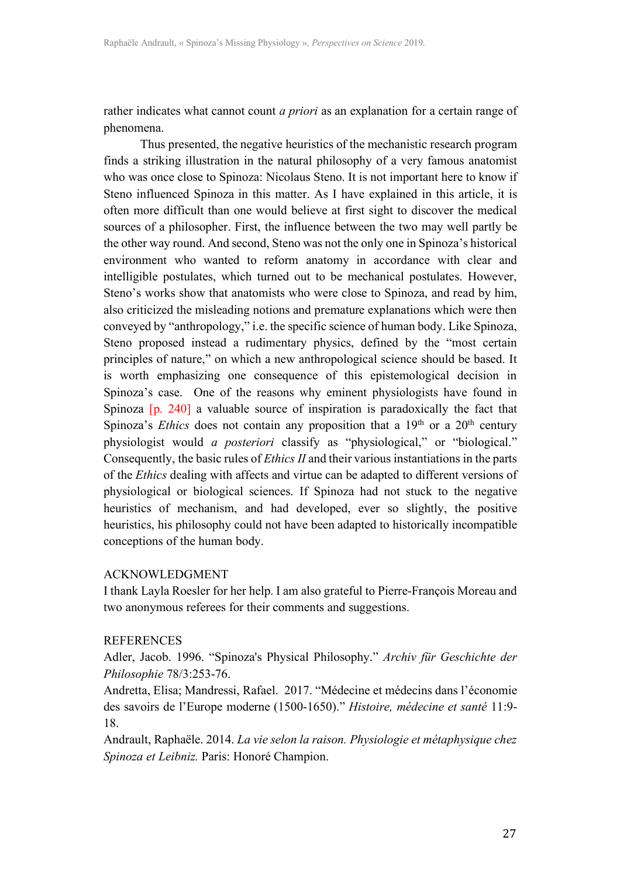rather indicates what cannot count *a priori* as an explanation for a certain range of phenomena.

Thus presented, the negative heuristics of the mechanistic research program finds a striking illustration in the natural philosophy of a very famous anatomist who was once close to Spinoza: Nicolaus Steno. It is not important here to know if Steno influenced Spinoza in this matter. As I have explained in this article, it is often more difficult than one would believe at first sight to discover the medical sources of a philosopher. First, the influence between the two may well partly be the other way round. And second, Steno was not the only one in Spinoza's historical environment who wanted to reform anatomy in accordance with clear and intelligible postulates, which turned out to be mechanical postulates. However, Steno's works show that anatomists who were close to Spinoza, and read by him, also criticized the misleading notions and premature explanations which were then conveyed by "anthropology," i.e. the specific science of human body. Like Spinoza, Steno proposed instead a rudimentary physics, defined by the "most certain principles of nature," on which a new anthropological science should be based. It is worth emphasizing one consequence of this epistemological decision in Spinoza's case. One of the reasons why eminent physiologists have found in Spinoza [p. 240] a valuable source of inspiration is paradoxically the fact that Spinoza's *Ethics* does not contain any proposition that a  $19<sup>th</sup>$  or a  $20<sup>th</sup>$  century physiologist would *a posteriori* classify as "physiological," or "biological." Consequently, the basic rules of *Ethics II* and their various instantiations in the parts of the *Ethics* dealing with affects and virtue can be adapted to different versions of physiological or biological sciences. If Spinoza had not stuck to the negative heuristics of mechanism, and had developed, ever so slightly, the positive heuristics, his philosophy could not have been adapted to historically incompatible conceptions of the human body.

## ACKNOWLEDGMENT

I thank Layla Roesler for her help. I am also grateful to Pierre-François Moreau and two anonymous referees for their comments and suggestions.

## REFERENCES

Adler, Jacob. 1996. "Spinoza's Physical Philosophy." *Archiv für Geschichte der Philosophie* 78/3:253-76.

Andretta, Elisa; Mandressi, Rafael. 2017. "Médecine et médecins dans l'économie des savoirs de l'Europe moderne (1500-1650)." *Histoire, médecine et santé* 11:9- 18.

Andrault, Raphaële. 2014. *La vie selon la raison. Physiologie et métaphysique chez Spinoza et Leibniz.* Paris: Honoré Champion.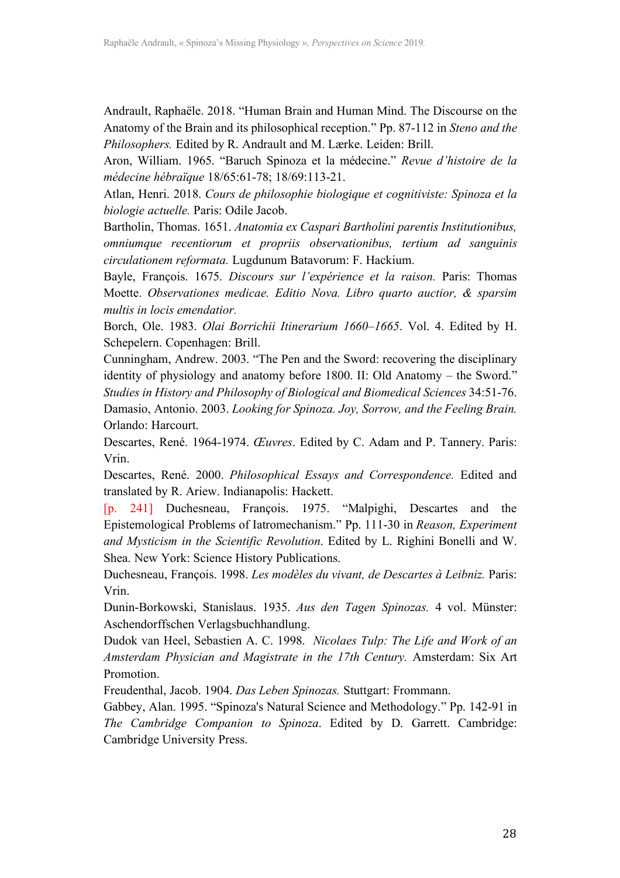Andrault, Raphaële. 2018. "Human Brain and Human Mind. The Discourse on the Anatomy of the Brain and its philosophical reception." Pp. 87-112 in *Steno and the Philosophers.* Edited by R. Andrault and M. Lærke. Leiden: Brill.

Aron, William. 1965. "Baruch Spinoza et la médecine." *Revue d'histoire de la médecine hébraïque* 18/65:61-78; 18/69:113-21.

Atlan, Henri. 2018. *Cours de philosophie biologique et cognitiviste: Spinoza et la biologie actuelle.* Paris: Odile Jacob.

Bartholin, Thomas. 1651. *Anatomia ex Caspari Bartholini parentis Institutionibus, omniumque recentiorum et propriis observationibus, tertium ad sanguinis circulationem reformata.* Lugdunum Batavorum: F. Hackium.

Bayle, François. 1675. *Discours sur l'expérience et la raison.* Paris: Thomas Moette. *Observationes medicae. Editio Nova. Libro quarto auctior, & sparsim multis in locis emendatior.*

Borch, Ole. 1983. *Olai Borrichii Itinerarium 1660–1665*. Vol. 4. Edited by H. Schepelern. Copenhagen: Brill.

Cunningham, Andrew. 2003. "The Pen and the Sword: recovering the disciplinary identity of physiology and anatomy before 1800. II: Old Anatomy – the Sword."

*Studies in History and Philosophy of Biological and Biomedical Sciences* 34:51-76. Damasio, Antonio. 2003. *Looking for Spinoza. Joy, Sorrow, and the Feeling Brain.*  Orlando: Harcourt.

Descartes, René. 1964-1974. *Œuvres*. Edited by C. Adam and P. Tannery. Paris: Vrin.

Descartes, René. 2000. *Philosophical Essays and Correspondence.* Edited and translated by R. Ariew. Indianapolis: Hackett.

[p. 241] Duchesneau, François. 1975. "Malpighi, Descartes and the Epistemological Problems of Iatromechanism." Pp. 111-30 in *Reason, Experiment and Mysticism in the Scientific Revolution*. Edited by L. Righini Bonelli and W. Shea. New York: Science History Publications.

Duchesneau, François. 1998. *Les modèles du vivant, de Descartes à Leibniz.* Paris: Vrin.

Dunin-Borkowski, Stanislaus. 1935. *Aus den Tagen Spinozas.* 4 vol. Münster: Aschendorffschen Verlagsbuchhandlung.

Dudok van Heel, Sebastien A. C. 1998. *Nicolaes Tulp: The Life and Work of an Amsterdam Physician and Magistrate in the 17th Century.* Amsterdam: Six Art **Promotion** 

Freudenthal, Jacob. 1904. *Das Leben Spinozas.* Stuttgart: Frommann.

Gabbey, Alan. 1995. "Spinoza's Natural Science and Methodology." Pp. 142-91 in *The Cambridge Companion to Spinoza*. Edited by D. Garrett. Cambridge: Cambridge University Press.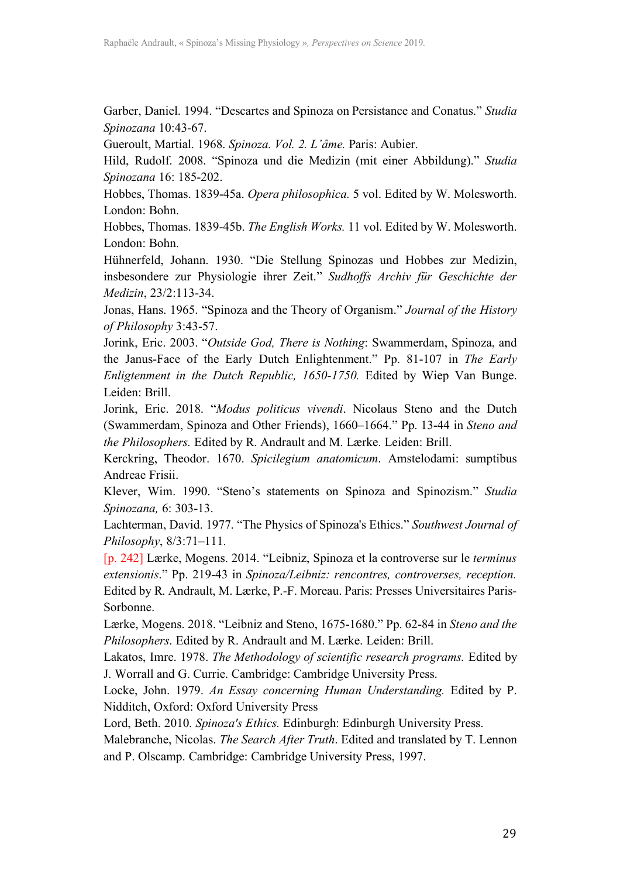Garber, Daniel. 1994. "Descartes and Spinoza on Persistance and Conatus." *Studia Spinozana* 10:43-67.

Gueroult, Martial. 1968. *Spinoza. Vol. 2. L'âme.* Paris: Aubier.

Hild, Rudolf. 2008. "Spinoza und die Medizin (mit einer Abbildung)." *Studia Spinozana* 16: 185-202.

Hobbes, Thomas. 1839-45a. *Opera philosophica.* 5 vol. Edited by W. Molesworth. London: Bohn.

Hobbes, Thomas. 1839-45b. *The English Works.* 11 vol. Edited by W. Molesworth. London: Bohn.

Hühnerfeld, Johann. 1930. "Die Stellung Spinozas und Hobbes zur Medizin, insbesondere zur Physiologie ihrer Zeit." *Sudhoffs Archiv für Geschichte der Medizin*, 23/2:113-34.

Jonas, Hans. 1965. "Spinoza and the Theory of Organism." *Journal of the History of Philosophy* 3:43-57.

Jorink, Eric. 2003. "*Outside God, There is Nothing*: Swammerdam, Spinoza, and the Janus-Face of the Early Dutch Enlightenment." Pp. 81-107 in *The Early Enligtenment in the Dutch Republic, 1650-1750.* Edited by Wiep Van Bunge. Leiden: Brill.

Jorink, Eric. 2018. "*Modus politicus vivendi*. Nicolaus Steno and the Dutch (Swammerdam, Spinoza and Other Friends), 1660–1664." Pp. 13-44 in *Steno and the Philosophers.* Edited by R. Andrault and M. Lærke. Leiden: Brill.

Kerckring, Theodor. 1670. *Spicilegium anatomicum*. Amstelodami: sumptibus Andreae Frisii.

Klever, Wim. 1990. "Steno's statements on Spinoza and Spinozism." *Studia Spinozana,* 6: 303-13.

Lachterman, David. 1977. "The Physics of Spinoza's Ethics." *Southwest Journal of Philosophy*, 8/3:71–111.

[p. 242] Lærke, Mogens. 2014. "Leibniz, Spinoza et la controverse sur le *terminus extensionis*." Pp. 219-43 in *Spinoza/Leibniz: rencontres, controverses, reception.*  Edited by R. Andrault, M. Lærke, P.-F. Moreau. Paris: Presses Universitaires Paris-Sorbonne.

Lærke, Mogens. 2018. "Leibniz and Steno, 1675-1680." Pp. 62-84 in *Steno and the Philosophers*. Edited by R. Andrault and M. Lærke. Leiden: Brill.

Lakatos, Imre. 1978. *The Methodology of scientific research programs.* Edited by J. Worrall and G. Currie. Cambridge: Cambridge University Press.

Locke, John. 1979. *An Essay concerning Human Understanding.* Edited by P. Nidditch, Oxford: Oxford University Press

Lord, Beth. 2010. *Spinoza's Ethics.* Edinburgh: Edinburgh University Press.

Malebranche, Nicolas. *The Search After Truth*. Edited and translated by T. Lennon and P. Olscamp. Cambridge: Cambridge University Press, 1997.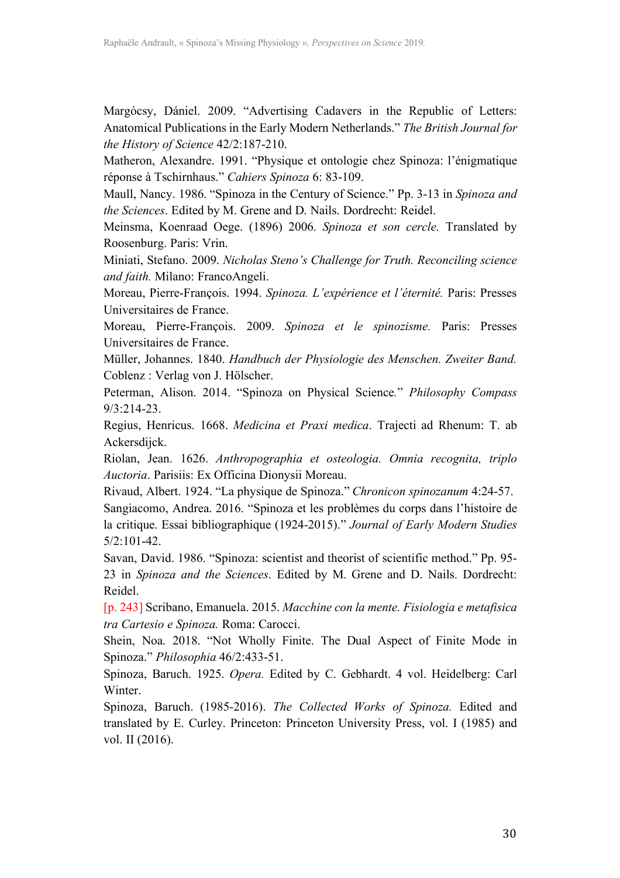Margócsy, Dániel. 2009. "Advertising Cadavers in the Republic of Letters: Anatomical Publications in the Early Modern Netherlands." *The British Journal for the History of Science* 42/2:187-210.

Matheron, Alexandre. 1991. "Physique et ontologie chez Spinoza: l'énigmatique réponse à Tschirnhaus." *Cahiers Spinoza* 6: 83-109.

Maull, Nancy. 1986. "Spinoza in the Century of Science." Pp. 3-13 in *Spinoza and the Sciences*. Edited by M. Grene and D. Nails. Dordrecht: Reidel.

Meinsma, Koenraad Oege. (1896) 2006. *Spinoza et son cercle.* Translated by Roosenburg. Paris: Vrin.

Miniati, Stefano. 2009. *Nicholas Steno's Challenge for Truth. Reconciling science and faith.* Milano: FrancoAngeli.

Moreau, Pierre-François. 1994. *Spinoza. L'expérience et l'éternité.* Paris: Presses Universitaires de France.

Moreau, Pierre-François. 2009. *Spinoza et le spinozisme.* Paris: Presses Universitaires de France.

Müller, Johannes. 1840. *Handbuch der Physiologie des Menschen. Zweiter Band.* Coblenz : Verlag von J. Hölscher.

Peterman, Alison. 2014. "Spinoza on Physical Science*.*" *Philosophy Compass* 9/3:214-23.

Regius, Henricus. 1668. *Medicina et Praxi medica*. Trajecti ad Rhenum: T. ab Ackersdijck.

Riolan, Jean. 1626. *Anthropographia et osteologia. Omnia recognita, triplo Auctoria*. Parisiis: Ex Officina Dionysii Moreau.

Rivaud, Albert. 1924. "La physique de Spinoza." *Chronicon spinozanum* 4:24-57. Sangiacomo, Andrea. 2016. "Spinoza et les problèmes du corps dans l'histoire de la critique. Essai bibliographique (1924-2015)." *Journal of Early Modern Studies* 5/2:101-42.

Savan, David. 1986. "Spinoza: scientist and theorist of scientific method." Pp. 95- 23 in *Spinoza and the Sciences*. Edited by M. Grene and D. Nails. Dordrecht: Reidel.

[p. 243] Scribano, Emanuela. 2015. *Macchine con la mente. Fisiologia e metafisica tra Cartesio e Spinoza.* Roma: Carocci.

Shein, Noa. 2018. "Not Wholly Finite. The Dual Aspect of Finite Mode in Spinoza." *Philosophia* 46/2:433-51.

Spinoza, Baruch. 1925. *Opera.* Edited by C. Gebhardt. 4 vol. Heidelberg: Carl Winter.

Spinoza, Baruch. (1985-2016). *The Collected Works of Spinoza.* Edited and translated by E. Curley. Princeton: Princeton University Press, vol. I (1985) and vol. II (2016).